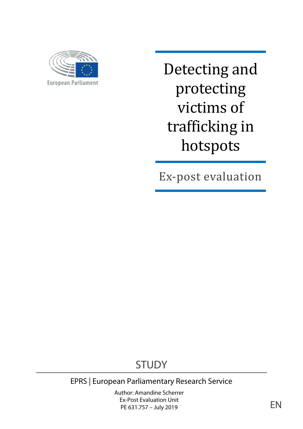

Detecting and protecting victims of trafficking in hotspots

Ex-post evaluation

# STUDY

# EPRS | European Parliamentary Research Service

Author: Amandine Scherrer Ex-Post Evaluation Unit  $P$ E 631.757 – July 2019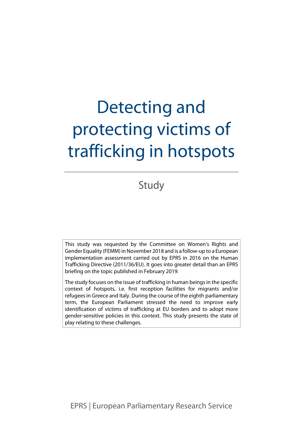# Detecting and protecting victims of trafficking in hotspots

Study

This study was requested by the Committee on Women's Rights and Gender Equality (FEMM) in November 2018 and is a follow-up to a European implementation assessment carried out by EPRS in 2016 on the Human Trafficking Directive (2011/36/EU). It goes into greater detail than an EPRS briefing on the topic published in February 2019.

The study focuses on the issue of trafficking in human beings in the specific context of hotspots, i.e. first reception facilities for migrants and/or refugees in Greece and Italy. During the course of the eighth parliamentary term, the European Parliament stressed the need to improve early identification of victims of trafficking at EU borders and to adopt more gender-sensitive policies in this context. This study presents the state of play relating to these challenges.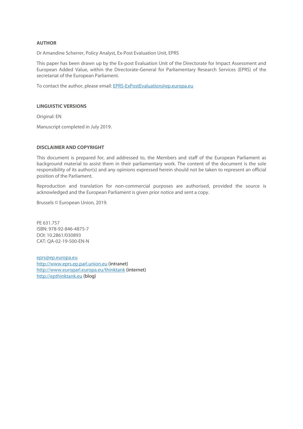#### **AUTHOR**

Dr Amandine Scherrer, Policy Analyst, Ex-Post Evaluation Unit, EPRS

This paper has been drawn up by the Ex-post Evaluation Unit of the Directorate for Impact Assessment and European Added Value, within the Directorate-General for Parliamentary Research Services (EPRS) of the secretariat of the European Parliament.

To contact the author, please email[: EPRS-ExPostEvaluation@ep.europa.eu](mailto:EPRS-ExPostEvaluation@ep.europa.eu)

#### **LINGUISTIC VERSIONS**

Original: EN

Manuscript completed in July 2019.

#### **DISCLAIMER AND COPYRIGHT**

This document is prepared for, and addressed to, the Members and staff of the European Parliament as background material to assist them in their parliamentary work. The content of the document is the sole responsibility of its author(s) and any opinions expressed herein should not be taken to represent an official position of the Parliament.

Reproduction and translation for non-commercial purposes are authorised, provided the source is acknowledged and the European Parliament is given prior notice and sent a copy.

Brussels © European Union, 2019.

PE 631.757 ISBN: 978-92-846-4875-7 DOI: 10.2861/030893 CAT: QA-02-19-500-EN-N

[eprs@ep.europa.eu](mailto:eprs@ep.europa.eu) [http://www.eprs.ep.parl.union.eu](http://www.eprs.ep.parl.union.eu/) (intranet) <http://www.europarl.europa.eu/thinktank> (internet) [http://epthinktank.eu](http://epthinktank.eu/) (blog)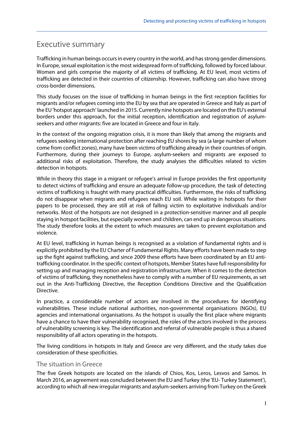### Executive summary

Trafficking in human beings occurs in every country in the world, and has strong gender dimensions. In Europe, sexual exploitation is the most widespread form of trafficking, followed by forced labour. Women and girls comprise the majority of all victims of trafficking. At EU level, most victims of trafficking are detected in their countries of citizenship. However, trafficking can also have strong cross-border dimensions.

This study focuses on the issue of trafficking in human beings in the first reception facilities for migrants and/or refugees coming into the EU by sea that are operated in Greece and Italy as part of the EU 'hotspot approach' launched in 2015. Currently nine hotspots are located on the EU's external borders under this approach, for the initial reception, identification and registration of asylumseekers and other migrants: five are located in Greece and four in Italy.

In the context of the ongoing migration crisis, it is more than likely that among the migrants and refugees seeking international protection after reaching EU shores by sea (a large number of whom come from conflict zones), many have been victims of trafficking already in their countries of origin. Furthermore, during their journeys to Europe, asylum-seekers and migrants are exposed to additional risks of exploitation. Therefore, the study analyses the difficulties related to victim detection in hotspots.

While in theory this stage in a migrant or refugee's arrival in Europe provides the first opportunity to detect victims of trafficking and ensure an adequate follow-up procedure, the task of detecting victims of trafficking is fraught with many practical difficulties. Furthermore, the risks of trafficking do not disappear when migrants and refugees reach EU soil. While waiting in hotspots for their papers to be processed, they are still at risk of falling victim to exploitative individuals and/or networks. Most of the hotspots are not designed in a protection-sensitive manner and all people staying in hotspot facilities, but especially women and children, can end up in dangerous situations. The study therefore looks at the extent to which measures are taken to prevent exploitation and violence.

At EU level, trafficking in human beings is recognised as a violation of fundamental rights and is explicitly prohibited by the EU Charter of Fundamental Rights. Many efforts have been made to step up the fight against trafficking, and since 2009 these efforts have been coordinated by an EU antitrafficking coordinator. In the specific context of hotspots, Member States have full responsibility for setting up and managing reception and registration infrastructure. When it comes to the detection of victims of trafficking, they nonetheless have to comply with a number of EU requirements, as set out in the Anti-Trafficking Directive, the Reception Conditions Directive and the Qualification Directive.

In practice, a considerable number of actors are involved in the procedures for identifying vulnerabilities. These include national authorities, non-governmental organisations (NGOs), EU agencies and international organisations. As the hotspot is usually the first place where migrants have a chance to have their vulnerability recognised, the roles of the actors involved in the process of vulnerability screening is key. The identification and referral of vulnerable people is thus a shared responsibility of all actors operating in the hotspots.

The living conditions in hotspots in Italy and Greece are very different, and the study takes due consideration of these specificities.

#### The situation in Greece

The five Greek hotspots are located on the islands of Chios, Kos, Leros, Lesvos and Samos. In March 2016, an agreement was concluded between the EU and Turkey (the 'EU- Turkey Statement'), according to which all new irregular migrants and asylum-seekers arriving from Turkey on the Greek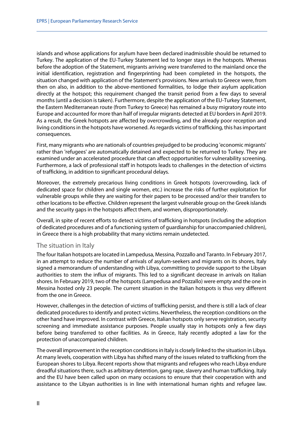islands and whose applications for asylum have been declared inadmissible should be returned to Turkey. The application of the EU-Turkey Statement led to longer stays in the hotspots. Whereas before the adoption of the Statement, migrants arriving were transferred to the mainland once the initial identification, registration and fingerprinting had been completed in the hotspots, the situation changed with application of the Statement's provisions. New arrivals to Greece were, from then on also, in addition to the above-mentioned formalities, to lodge their asylum application directly at the hotspot; this requirement changed the transit period from a few days to several months (until a decision is taken). Furthermore, despite the application of the EU-Turkey Statement, the Eastern Mediterranean route (from Turkey to Greece) has remained a busy migratory route into Europe and accounted for more than half of irregular migrants detected at EU borders in April 2019. As a result, the Greek hotspots are affected by overcrowding, and the already poor reception and living conditions in the hotspots have worsened. As regards victims of trafficking, this has important consequences.

First, many migrants who are nationals of countries prejudged to be producing 'economic migrants' rather than 'refugees' are automatically detained and expected to be returned to Turkey. They are examined under an accelerated procedure that can affect opportunities for vulnerability screening. Furthermore, a lack of professional staff in hotspots leads to challenges in the detection of victims of trafficking, in addition to significant procedural delays.

Moreover, the extremely precarious living conditions in Greek hotspots (overcrowding, lack of dedicated space for children and single women, etc.) increase the risks of further exploitation for vulnerable groups while they are waiting for their papers to be processed and/or their transfers to other locations to be effective. Children represent the largest vulnerable group on the Greek islands and the security gaps in the hotspots affect them, and women, disproportionately.

Overall, in spite of recent efforts to detect victims of trafficking in hotspots (including the adoption of dedicated procedures and of a functioning system of guardianship for unaccompanied children), in Greece there is a high probability that many victims remain undetected.

#### The situation in Italy

The four Italian hotspots are located in Lampedusa, Messina, Pozzallo and Taranto. In February 2017, in an attempt to reduce the number of arrivals of asylum-seekers and migrants on its shores, Italy signed a memorandum of understanding with Libya, committing to provide support to the Libyan authorities to stem the influx of migrants. This led to a significant decrease in arrivals on Italian shores. In February 2019, two of the hotspots (Lampedusa and Pozzallo) were empty and the one in Messina hosted only 23 people. The current situation in the Italian hotspots is thus very different from the one in Greece.

However, challenges in the detection of victims of trafficking persist, and there is still a lack of clear dedicated procedures to identify and protect victims. Nevertheless, the reception conditions on the other hand have improved. In contrast with Greece, Italian hotspots only serve registration, security screening and immediate assistance purposes. People usually stay in hotspots only a few days before being transferred to other facilities. As in Greece, Italy recently adopted a law for the protection of unaccompanied children.

The overall improvement in the reception conditions in Italy is closely linked to the situation in Libya. At many levels, cooperation with Libya has shifted many of the issues related to trafficking from the European shores to Libya. Recent reports show that migrants and refugees who reach Libya endure dreadful situations there, such as arbitrary detention, gang rape, slavery and human trafficking. Italy and the EU have been called upon on many occasions to ensure that their cooperation with and assistance to the Libyan authorities is in line with international human rights and refugee law.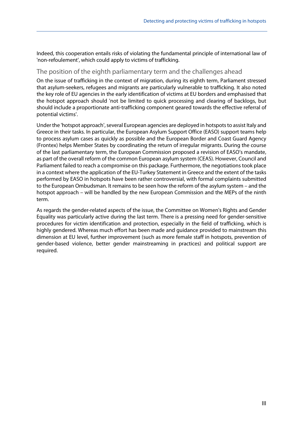Indeed, this cooperation entails risks of violating the fundamental principle of international law of 'non-refoulement', which could apply to victims of trafficking.

#### The position of the eighth parliamentary term and the challenges ahead

On the issue of trafficking in the context of migration, during its eighth term, Parliament stressed that asylum-seekers, refugees and migrants are particularly vulnerable to trafficking. It also noted the key role of EU agencies in the early identification of victims at EU borders and emphasised that the hotspot approach should 'not be limited to quick processing and clearing of backlogs, but should include a proportionate anti-trafficking component geared towards the effective referral of potential victims'.

Underthe 'hotspot approach', several European agencies are deployed in hotspots to assist Italy and Greece in their tasks. In particular, the European Asylum Support Office (EASO) support teams help to process asylum cases as quickly as possible and the European Border and Coast Guard Agency (Frontex) helps Member States by coordinating the return of irregular migrants. During the course of the last parliamentary term, the European Commission proposed a revision of EASO's mandate, as part of the overall reform of the common European asylum system (CEAS). However, Council and Parliament failed to reach a compromise on this package. Furthermore, the negotiations took place in a context where the application of the EU-Turkey Statement in Greece and the extent of the tasks performed by EASO in hotspots have been rather controversial, with formal complaints submitted to the European Ombudsman. It remains to be seen how the reform of the asylum system – and the hotspot approach – will be handled by the new European Commission and the MEPs of the ninth term.

As regards the gender-related aspects of the issue, the Committee on Women's Rights and Gender Equality was particularly active during the last term. There is a pressing need for gender-sensitive procedures for victim identification and protection, especially in the field of trafficking, which is highly gendered. Whereas much effort has been made and guidance provided to mainstream this dimension at EU level, further improvement (such as more female staff in hotspots, prevention of gender-based violence, better gender mainstreaming in practices) and political support are required.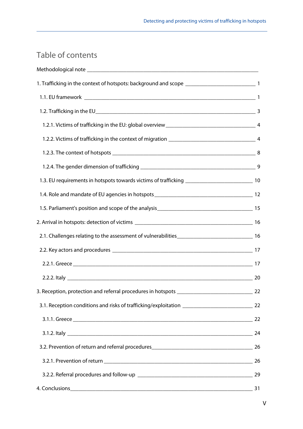# Table of contents

| 1.3. EU requirements in hotspots towards victims of trafficking ___________________________________ 10 |  |
|--------------------------------------------------------------------------------------------------------|--|
|                                                                                                        |  |
|                                                                                                        |  |
|                                                                                                        |  |
|                                                                                                        |  |
|                                                                                                        |  |
|                                                                                                        |  |
|                                                                                                        |  |
|                                                                                                        |  |
|                                                                                                        |  |
|                                                                                                        |  |
|                                                                                                        |  |
|                                                                                                        |  |
|                                                                                                        |  |
|                                                                                                        |  |
|                                                                                                        |  |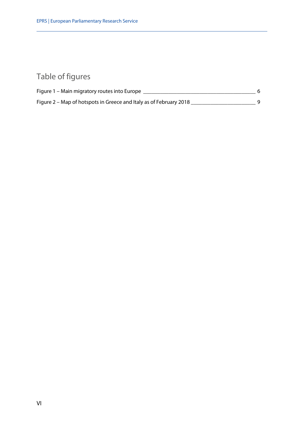# Table of figures

| Figure 1 – Main migratory routes into Europe                       |  |
|--------------------------------------------------------------------|--|
| Figure 2 – Map of hotspots in Greece and Italy as of February 2018 |  |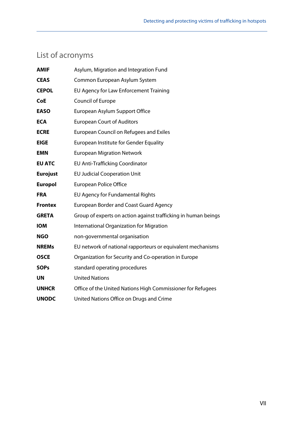# List of acronyms

| <b>AMIF</b>     | Asylum, Migration and Integration Fund                         |
|-----------------|----------------------------------------------------------------|
| <b>CEAS</b>     | Common European Asylum System                                  |
| <b>CEPOL</b>    | EU Agency for Law Enforcement Training                         |
| <b>CoE</b>      | Council of Europe                                              |
| <b>EASO</b>     | European Asylum Support Office                                 |
| <b>ECA</b>      | <b>European Court of Auditors</b>                              |
| <b>ECRE</b>     | <b>European Council on Refugees and Exiles</b>                 |
| <b>EIGE</b>     | European Institute for Gender Equality                         |
| <b>EMN</b>      | <b>European Migration Network</b>                              |
| <b>EU ATC</b>   | <b>EU Anti-Trafficking Coordinator</b>                         |
| <b>Eurojust</b> | <b>EU Judicial Cooperation Unit</b>                            |
| <b>Europol</b>  | <b>European Police Office</b>                                  |
| <b>FRA</b>      | EU Agency for Fundamental Rights                               |
| <b>Frontex</b>  | <b>European Border and Coast Guard Agency</b>                  |
| <b>GRETA</b>    | Group of experts on action against trafficking in human beings |
| <b>IOM</b>      | International Organization for Migration                       |
| <b>NGO</b>      | non-governmental organisation                                  |
| <b>NREMs</b>    | EU network of national rapporteurs or equivalent mechanisms    |
| <b>OSCE</b>     | Organization for Security and Co-operation in Europe           |
| <b>SOPs</b>     | standard operating procedures                                  |
| <b>UN</b>       | <b>United Nations</b>                                          |
| <b>UNHCR</b>    | Office of the United Nations High Commissioner for Refugees    |
| <b>UNODC</b>    | United Nations Office on Drugs and Crime                       |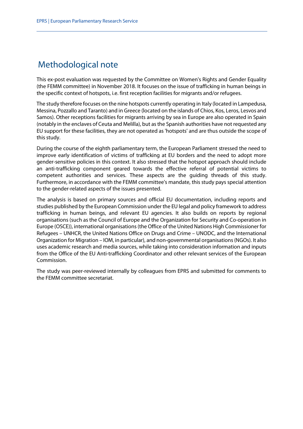# <span id="page-11-0"></span>Methodological note

This ex-post evaluation was requested by the Committee on Women's Rights and Gender Equality (the FEMM committee) in November 2018. It focuses on the issue of trafficking in human beings in the specific context of hotspots, i.e. first reception facilities for migrants and/or refugees.

The study therefore focuses on the nine hotspots currently operating in Italy (located in Lampedusa, Messina, Pozzallo and Taranto) and in Greece (located on the islands of Chios, Kos, Leros, Lesvos and Samos). Other receptions facilities for migrants arriving by sea in Europe are also operated in Spain (notably in the enclaves of Ceuta and Melilla), but as the Spanish authorities have not requested any EU support for these facilities, they are not operated as 'hotspots' and are thus outside the scope of this study.

During the course of the eighth parliamentary term, the European Parliament stressed the need to improve early identification of victims of trafficking at EU borders and the need to adopt more gender-sensitive policies in this context. It also stressed that the hotspot approach should include an anti-trafficking component geared towards the effective referral of potential victims to competent authorities and services. These aspects are the guiding threads of this study. Furthermore, in accordance with the FEMM committee's mandate, this study pays special attention to the gender-related aspects of the issues presented.

The analysis is based on primary sources and official EU documentation, including reports and studies published by the European Commission under the EU legal and policy framework to address trafficking in human beings, and relevant EU agencies. It also builds on reports by regional organisations (such as the Council of Europe and the Organization for Security and Co-operation in Europe (OSCE)), international organisations (the Office of the United Nations High Commissioner for Refugees – UNHCR, the United Nations Office on Drugs and Crime – UNODC, and the International Organization for Migration – IOM, in particular), and non-governmental organisations (NGOs). It also uses academic research and media sources, while taking into consideration information and inputs from the Office of the EU Anti-trafficking Coordinator and other relevant services of the European Commission.

The study was peer-reviewed internally by colleagues from EPRS and submitted for comments to the FEMM committee secretariat.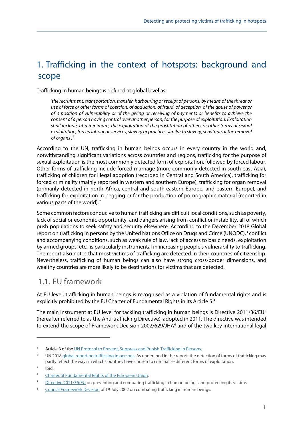# <span id="page-12-0"></span>1. Trafficking in the context of hotspots: background and scope

Trafficking in human beings is defined at global level as:

*'the recruitment, transportation, transfer, harbouring or receipt of persons, by means of the threat or use of force or other forms of coercion, of abduction, of fraud, of deception, of the abuse of power or of a position of vulnerability or of the giving or receiving of payments or benefits to achieve the consent of a person having control over another person, for the purpose of exploitation. Exploitation shall include, at a minimum, the exploitation of the prostitution of others or other forms of sexual exploitation, forced labour or services, slavery or practices similar to slavery, servitude or the removal of organs'. [1](#page-12-2)*

According to the UN, trafficking in human beings occurs in every country in the world and, notwithstanding significant variations across countries and regions, trafficking for the purpose of sexual exploitation is the most commonly detected form of exploitation, followed by forced labour. Other forms of trafficking include forced marriage (more commonly detected in south-east Asia), trafficking of children for illegal adoption (recorded in Central and South America), trafficking for forced criminality (mainly reported in western and southern Europe), trafficking for organ removal (primarily detected in north Africa, central and south-eastern Europe, and eastern Europe), and trafficking for exploitation in begging or for the production of pornographic material (reported in various parts of the world).<sup>[2](#page-12-3)</sup>

Some common factors conducive to human trafficking are difficult local conditions, such as poverty, lack of social or economic opportunity, and dangers arising from conflict or instability, all of which push populations to seek safety and security elsewhere. According to the December 2018 Global report on trafficking in persons by the United Nations Office on Drugs and Crime (UNODC), $3$  conflict and accompanying conditions, such as weak rule of law, lack of access to basic needs, exploitation by armed groups, etc., is particularly instrumental in increasing people's vulnerability to trafficking. The report also notes that most victims of trafficking are detected in their countries of citizenship. Nevertheless, trafficking of human beings can also have strong cross-border dimensions, and wealthy countries are more likely to be destinations for victims that are detected.

### <span id="page-12-1"></span>1.1. EU framework

At EU level, trafficking in human beings is recognised as a violation of fundamental rights and is explicitly prohibited by the EU Charter of Fundamental Rights in its Article 5.<sup>[4](#page-12-5)</sup>

The main instrument at EU level for tackling trafficking in human beings is Directive 2011/36/EU<sup>[5](#page-12-6)</sup> (hereafter referred to as the Anti-trafficking Directive), adopted in 2011. The directive was intended to extend the scope of Framework Decision 2002/[6](#page-12-7)29/JHA<sup>6</sup> and of the two key international legal

<span id="page-12-4"></span><sup>3</sup> Ibid.

<span id="page-12-2"></span><sup>&</sup>lt;sup>1</sup> Article 3 of th[e UN Protocol to Prevent, Suppress and Punish Trafficking in Persons.](https://www.ohchr.org/EN/ProfessionalInterest/Pages/ProtocolTraffickingInPersons.aspx)

<span id="page-12-3"></span><sup>&</sup>lt;sup>2</sup> UN 201[8 global report on trafficking in persons.](https://www.unodc.org/unodc/data-and-analysis/glotip.html) As underlined in the report, the detection of forms of trafficking may partly reflect the ways in which countries have chosen to criminalise different forms of exploitation.

<span id="page-12-5"></span><sup>4</sup> [Charter of Fundamental Rights of the European Union.](https://www.europarl.europa.eu/charter/pdf/text_en.pdf)

<span id="page-12-6"></span><sup>&</sup>lt;sup>5</sup> [Directive 2011/36/EU](https://eur-lex.europa.eu/legal-content/en/TXT/?uri=CELEX%3A32011L0036) on preventing and combating trafficking in human beings and protecting its victims.

<span id="page-12-7"></span><sup>&</sup>lt;sup>6</sup> [Council Framework Decision](https://eur-lex.europa.eu/legal-content/EN/TXT/?uri=CELEX%3A32002F0629) of 19 July 2002 on combating trafficking in human beings.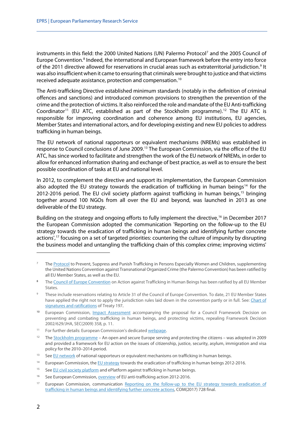instruments in this field: the 2000 United Nations (UN) Palermo Protocol[7](#page-13-0) and the 2005 Council of Europe Convention.<sup>[8](#page-13-1)</sup> Indeed, the international and European framework before the entry into force of the 2011 directive allowed for reservations in crucial areas such as extraterritorial jurisdiction.<sup>[9](#page-13-2)</sup> It was also insufficient when it came to ensuring that criminals were brought to justice and that victims received adequate assistance, protection and compensation.<sup>[10](#page-13-3)</sup>

The Anti-trafficking Directive established minimum standards (notably in the definition of criminal offences and sanctions) and introduced common provisions to strengthen the prevention of the crime and the protection of victims. It also reinforced the role and mandate of the EU Anti-trafficking Coordinator<sup>[11](#page-13-4)</sup> (EU ATC, established as part of the Stockholm programme).<sup>[12](#page-13-5)</sup> The EU ATC is responsible for improving coordination and coherence among EU institutions, EU agencies, Member States and international actors, and for developing existing and new EU policies to address trafficking in human beings.

The EU network of national rapporteurs or equivalent mechanisms (NREMs) was established in response to Council conclusions of June 2009.<sup>[13](#page-13-6)</sup> The European Commission, via the office of the EU ATC, has since worked to facilitate and strengthen the work of the EU network of NREMs, in order to allow for enhanced information sharing and exchange of best practice, as well as to ensure the best possible coordination of tasks at EU and national level.

In 2012, to complement the directive and support its implementation, the European Commission also adopted the EU strategy towards the eradication of trafficking in human beings<sup>[14](#page-13-7)</sup> for the 2012-2016 period. The EU civil society platform against trafficking in human beings,<sup>[15](#page-13-8)</sup> bringing together around 100 NGOs from all over the EU and beyond, was launched in 2013 as one deliverable of the EU strategy.

Building on the strategy and ongoing efforts to fully implement the directive,<sup>[16](#page-13-9)</sup> in December 2017 the European Commission adopted the communication 'Reporting on the follow-up to the EU strategy towards the eradication of trafficking in human beings and identifying further concrete actions', [17](#page-13-10) focusing on a set of targeted priorities: countering the culture of impunity by disrupting the business model and untangling the trafficking chain of this complex crime; improving victims'

<span id="page-13-0"></span><sup>&</sup>lt;sup>7</sup> Th[e Protocol](https://www.ohchr.org/en/ProfessionalInterest/Pages/ProtocolTraffickingInPersons.aspx) to Prevent, Suppress and Punish Trafficking in Persons Especially Women and Children, supplementing the United Nations Convention against Transnational Organized Crime (the Palermo Convention) has been ratified by all EU Member States, as well as the EU.

<span id="page-13-1"></span><sup>&</sup>lt;sup>8</sup> The [Council of Europe Convention](https://www.coe.int/en/web/conventions/full-list/-/conventions/treaty/197?desktop=true) on Action against Trafficking in Human Beings has been ratified by all EU Member States.

<span id="page-13-2"></span>These include reservations relating to Article 31 of the Council of Europe Convention. To date, 21 EU Member States have applied the right not to apply the jurisdiction rules laid down in the convention partly or in full. See: [Chart of](https://www.coe.int/en/web/conventions/full-list/-/conventions/treaty/197/signatures?p_auth=C8VCXTSf)  [signatures and ratifications](https://www.coe.int/en/web/conventions/full-list/-/conventions/treaty/197/signatures?p_auth=C8VCXTSf) of Treaty 197.

<span id="page-13-3"></span><sup>&</sup>lt;sup>10</sup> European Commission, *[Impact Assessment](https://eur-lex.europa.eu/legal-content/EN/ALL/?uri=CELEX%3A52009SC0359)* accompanying the proposal for a Council Framework Decision on preventing and combating trafficking in human beings, and protecting victims, repealing Framework Decision 2002/629/JHA, SEC(2009) 358, p. 11.

<span id="page-13-4"></span><sup>&</sup>lt;sup>11</sup> For further details: European Commission's dedicate[d webpage.](https://ec.europa.eu/anti-trafficking/eu-anti-trafficking-coordinator_en)

<span id="page-13-5"></span><sup>12</sup> Th[e Stockholm programme](https://ec.europa.eu/anti-trafficking/eu-policy/stockholm-programme-open-and-secure-europe-serving-and-protecting-citizens-0_en) – An open and secure Europe serving and protecting the citizens – was adopted in 2009 and provided a framework for EU action on the issues of citizenship, justice, security, asylum, immigration and visa policy for the 2010–2014 period.

<span id="page-13-6"></span><sup>&</sup>lt;sup>13</sup> Se[e EU network](https://ec.europa.eu/anti-trafficking/national-rapporteurs-andor-equivalent-mechanisms_en) of national rapporteurs or equivalent mechanisms on trafficking in human beings.

<span id="page-13-7"></span><sup>&</sup>lt;sup>14</sup> European Commission, the [EU strategy](https://ec.europa.eu/anti-trafficking/sites/antitrafficking/files/eu_strategy_towards_the_eradication_of_trafficking_in_human_beings_2012-2016_1.pdf) towards the eradication of trafficking in human beings 2012-2016.

<span id="page-13-8"></span><sup>&</sup>lt;sup>15</sup> Se[e EU civil society platform](https://ec.europa.eu/anti-trafficking/media-outreach-els/eu-civil-society-e-platform_en) and ePlatform against trafficking in human beings.

<span id="page-13-9"></span><sup>&</sup>lt;sup>16</sup> See European Commission[, overview](https://ec.europa.eu/anti-trafficking/publications/eu-anti-trafficking-action-2012-2016-glance_en) of EU anti-trafficking action 2012-2016.

<span id="page-13-10"></span><sup>&</sup>lt;sup>17</sup> European Commission, communication Reporting on the follow-up to the EU strategy towards eradication of [trafficking in human beings and identifying further concrete actions,](https://ec.europa.eu/anti-trafficking/sites/antitrafficking/files/20171204_communication_reporting_on_follow-up_to_the_eu_strategy_towards_the_eradication_of_trafficking_in_human_beings.pdf) COM(2017) 728 final.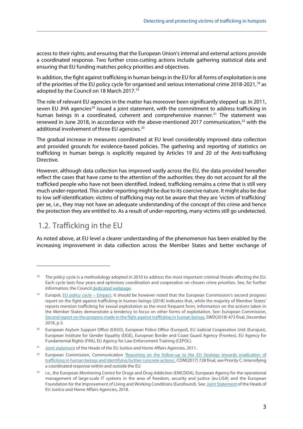access to their rights; and ensuring that the European Union's internal and external actions provide a coordinated response. Two further cross-cutting actions include gathering statistical data and ensuring that EU funding matches policy priorities and objectives.

In addition, the fight against trafficking in human beings in the EU for all forms of exploitation is one of the priorities of the EU policy cycle for organised and serious international crime 2018-2021,[18](#page-14-1) as adopted by the Council on 18 March 2017.<sup>[19](#page-14-2)</sup>

The role of relevant EU agencies in the matter has moreover been significantly stepped up. In 2011, seven EU JHA agencies<sup>[20](#page-14-3)</sup> issued a joint statement, with the commitment to address trafficking in human beings in a coordinated, coherent and comprehensive manner.<sup>[21](#page-14-4)</sup> The statement was renewed in June 2018, in accordance with the above-mentioned 2017 communication, $2<sup>22</sup>$  $2<sup>22</sup>$  $2<sup>22</sup>$  with the additional involvement of three EU agencies.<sup>[23](#page-14-6)</sup>

The gradual increase in measures coordinated at EU level considerably improved data collection and provided grounds for evidence-based policies. The gathering and reporting of statistics on trafficking in human beings is explicitly required by Articles 19 and 20 of the Anti-trafficking Directive.

However, although data collection has improved vastly across the EU, the data provided hereafter reflect the cases that have come to the attention of the authorities: they do not account for all the trafficked people who have not been identified. Indeed, trafficking remains a crime that is still very much under-reported. This under-reporting might be due to its coercive nature. It might also be due to low self-identification: victims of trafficking may not be aware that they are 'victim of trafficking' per se, i.e., they may not have an adequate understanding of the concept of this crime and hence the protection they are entitled to. As a result of under-reporting, many victims still go undetected.

# <span id="page-14-0"></span>1.2. Trafficking in the EU

1

As noted above, at EU level a clearer understanding of the phenomenon has been enabled by the increasing improvement in data collection across the Member States and better exchange of

<span id="page-14-1"></span>The policy cycle is a methodology adopted in 2010 to address the most important criminal threats affecting the EU. Each cycle lasts four years and optimises coordination and cooperation on chosen crime priorities. See, for further information, the Counci[l dedicated webpage.](https://www.consilium.europa.eu/en/documents-publications/publications/empact/)

<span id="page-14-2"></span>Europol, [EU policy cycle –](https://www.europol.europa.eu/crime-areas-and-trends/eu-policy-cycle-empact) Empact. It should be however noted that the European Commission's second progress report on the fight against trafficking in human beings (2018) indicates that, while the majority of Member States' reports mention trafficking for sexual exploitation as the most frequent form, information on the actions taken in the Member States demonstrate a tendency to focus on other forms of exploitation. See: European Commission, [Second report on the progress made in the fight against trafficking in human beings,](https://ec.europa.eu/home-affairs/sites/homeaffairs/files/what-we-do/policies/european-agenda-security/20181204_com-2018-777-report_en.pdf) SWD(2018) 473 final, December 2018, p.3.

<span id="page-14-3"></span><sup>&</sup>lt;sup>20</sup> European Asylum Support Office (EASO), European Police Office (Europol), EU Judicial Cooperation Unit (Eurojust), European Institute for Gender Equality (EIGE), European Border and Coast Guard Agency (Frontex), EU Agency for Fundamental Rights (FRA), EU Agency for Law Enforcement Training (CEPOL).

<span id="page-14-4"></span><sup>&</sup>lt;sup>21</sup> [Joint statement](https://ec.europa.eu/anti-trafficking/eu-policy/heads-ten-eu-agencies-commit-working-together-against-trafficking-human-beings_en) of the Heads of the EU Justice and Home Affairs Agencies, 2011.

<span id="page-14-5"></span><sup>&</sup>lt;sup>22</sup> European Commission, Communication 'Reporting on the follow-up to the EU Strategy towards eradication of [trafficking in human beings and identifying further concrete actions',](https://ec.europa.eu/anti-trafficking/sites/antitrafficking/files/20171204_communication_reporting_on_follow-up_to_the_eu_strategy_towards_the_eradication_of_trafficking_in_human_beings.pdf) COM(2017) 728 final, see Priority C: Intensifying a coordinated response within and outside the EU.

<span id="page-14-6"></span><sup>&</sup>lt;sup>23</sup> i.e., the European Monitoring Centre for Drugs and Drug Addiction (EMCDDA), European Agency for the operational management of large-scale IT systems in the area of freedom, security and justice (eu-LISA) and the European Foundation for the Improvement of Living and Working Conditions (Eurofound). See[: Joint Statement](https://eige.europa.eu/news/eu-agencies-stand-together-against-human-trafficking) of the Heads of EU Justice and Home Affairs Agencies, 2018.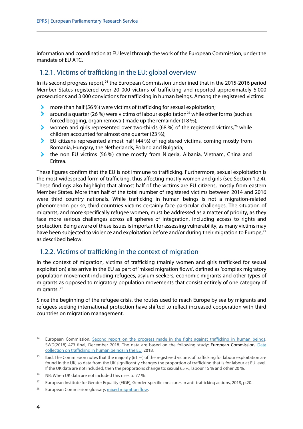information and coordination at EU level through the work of the European Commission, under the mandate of EU ATC.

### <span id="page-15-0"></span>1.2.1. Victims of trafficking in the EU: global overview

In its second progress report,<sup>[24](#page-15-2)</sup> the European Commission underlined that in the 2015-2016 period Member States registered over 20 000 victims of trafficking and reported approximately 5 000 prosecutions and 3 000 convictions for trafficking in human beings. Among the registered victims:

- э. more than half (56 %) were victims of trafficking for sexual exploitation;
- around a quarter (26 %) were victims of labour exploitation<sup>[25](#page-15-3)</sup> while other forms (such as > forced begging, organ removal) made up the remainder (18 %);
- **E** women and girls represented over two-thirds (68 %) of the registered victims,<sup>[26](#page-15-4)</sup> while children accounted for almost one quarter (23 %);
- EU citizens represented almost half (44 %) of registered victims, coming mostly from Romania, Hungary, the Netherlands, Poland and Bulgaria;
- the non EU victims (56 %) came mostly from Nigeria, Albania, Vietnam, China and э. Eritrea.

These figures confirm that the EU is not immune to trafficking. Furthermore, sexual exploitation is the most widespread form of trafficking, thus affecting mostly women and girls (see Section 1.2.4). These findings also highlight that almost half of the victims are EU citizens, mostly from eastern Member States. More than half of the total number of registered victims between 2014 and 2016 were third country nationals. While trafficking in human beings is not a migration-related phenomenon per se, third countries victims certainly face particular challenges. The situation of migrants, and more specifically refugee women, must be addressed as a matter of priority, as they face more serious challenges across all spheres of integration, including access to rights and protection. Being aware of these issues isimportant for assessing vulnerability, as many victims may have been subjected to violence and exploitation before and/or during their migration to Europe, $^{27}$  $^{27}$  $^{27}$ as described below.

### <span id="page-15-1"></span>1.2.2. Victims of trafficking in the context of migration

In the context of migration, victims of trafficking (mainly women and girls trafficked for sexual exploitation) also arrive in the EU as part of 'mixed migration flows', defined as 'complex migratory population movement including refugees, asylum-seekers, economic migrants and other types of migrants as opposed to migratory population movements that consist entirely of one category of migrants'. [28](#page-15-6)

Since the beginning of the refugee crisis, the routes used to reach Europe by sea by migrants and refugees seeking international protection have shifted to reflect increased cooperation with third countries on migration management.

<span id="page-15-2"></span><sup>&</sup>lt;sup>24</sup> European Commission, Second report on the progress made in the fight against trafficking in human beings, SWD(2018) 473 final, December 2018. The data are based on the following study: European Commission, [Data](https://ec.europa.eu/home-affairs/sites/homeaffairs/files/what-we-do/policies/european-agenda-security/20181204_data-collection-study.pdf)  [collection on trafficking in human beings in the EU,](https://ec.europa.eu/home-affairs/sites/homeaffairs/files/what-we-do/policies/european-agenda-security/20181204_data-collection-study.pdf) 2018.

<span id="page-15-3"></span><sup>&</sup>lt;sup>25</sup> Ibid. The Commission notes that the majority (61 %) of the registered victims of trafficking for labour exploitation are found in the UK, so data from the UK significantly changes the proportion of trafficking that is for labour at EU level. If the UK data are not included, then the proportions change to: sexual 65 %, labour 15 % and other 20 %.

<span id="page-15-4"></span><sup>&</sup>lt;sup>26</sup> NB: When UK data are not included this rises to 77 %.

<span id="page-15-5"></span><sup>&</sup>lt;sup>27</sup> European Institute for Gender Equality (EIGE)[, Gender-specific measures in anti-trafficking actions,](https://ec.europa.eu/anti-trafficking/sites/antitrafficking/files/read_the_report_gender-specific_measures_in_anti-trafficking_actions.pdf) 2018, p.20.

<span id="page-15-6"></span><sup>&</sup>lt;sup>28</sup> European Commission glossary[, mixed migration flow.](https://ec.europa.eu/home-affairs/content/mixed-migration-flow_en)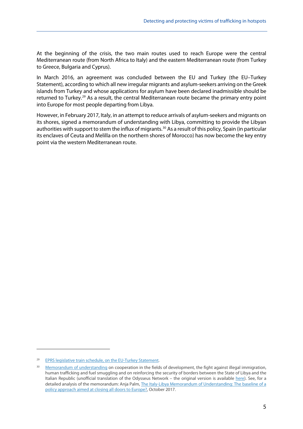At the beginning of the crisis, the two main routes used to reach Europe were the central Mediterranean route (from North Africa to Italy) and the eastern Mediterranean route (from Turkey to Greece, Bulgaria and Cyprus).

In March 2016, an agreement was concluded between the EU and Turkey (the EU–Turkey Statement), according to which all new irregular migrants and asylum-seekers arriving on the Greek islands from Turkey and whose applications for asylum have been declared inadmissible should be returned to Turkey.<sup>[29](#page-16-0)</sup> As a result, the central Mediterranean route became the primary entry point into Europe for most people departing from Libya.

However, in February 2017, Italy, in an attempt to reduce arrivals of asylum-seekers and migrants on its shores, signed a memorandum of understanding with Libya, committing to provide the Libyan authorities with support to stem the influx of migrants.<sup>[30](#page-16-1)</sup> As a result of this policy, Spain (in particular its enclaves of Ceuta and Melilla on the northern shores of Morocco) has now become the key entry point via the western Mediterranean route.

<span id="page-16-0"></span><sup>29</sup> [EPRS legislative train schedule, on the EU-Turkey Statement.](http://www.europarl.europa.eu/legislative-train/theme-towards-a-new-policy-on-migration/file-eu-turkey-statement-action-plan)

<span id="page-16-1"></span><sup>&</sup>lt;sup>30</sup> [Memorandum of understanding](https://eumigrationlawblog.eu/wp-content/uploads/2017/10/MEMORANDUM_translation_finalversion.doc.pdf) on cooperation in the fields of development, the fight against illegal immigration, human trafficking and fuel smuggling and on reinforcing the security of borders between the State of Libya and the Italian Republic (unofficial translation of the Odysseus Network – the original version is available [here\)](http://www.governo.it/sites/governo.it/files/Libia.pdf). See, for a detailed analysis of the memorandum: Anja Palm[, The Italy-Libya Memorandum of Understanding: The baseline of a](http://eumigrationlawblog.eu/the-italy-libya-memorandum-of-understanding-the-baseline-of-a-policy-approach-aimed-at-closing-all-doors-to-europe/)  [policy approach aimed at closing all doors to Europe?,](http://eumigrationlawblog.eu/the-italy-libya-memorandum-of-understanding-the-baseline-of-a-policy-approach-aimed-at-closing-all-doors-to-europe/) October 2017.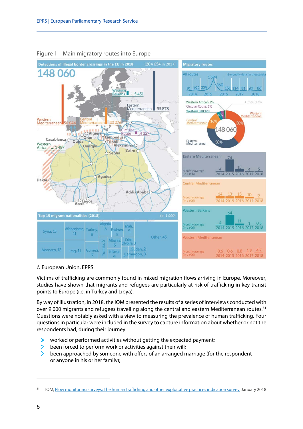

#### <span id="page-17-0"></span>Figure 1 – Main migratory routes into Europe

© European Union, EPRS.

Victims of trafficking are commonly found in mixed migration flows arriving in Europe. Moreover, studies have shown that migrants and refugees are particularly at risk of trafficking in key transit points to Europe (i.e. in Turkey and Libya).

By way of illustration, in 2018, the IOM presented the results of a series of interviews conducted with over 9 000 migrants and refugees travelling along the central and eastern Mediterranean routes.<sup>[31](#page-17-1)</sup> Questions were notably asked with a view to measuring the prevalence of human trafficking. Four questions in particular were included in the survey to capture information about whether or not the respondents had, during their journey:

- У worked or performed activities without getting the expected payment;
- ×. been forced to perform work or activities against their will;
- × been approached by someone with offers of an arranged marriage (for the respondent or anyone in his or her family);

<span id="page-17-1"></span><sup>31</sup> IOM[, Flow monitoring surveys: The human trafficking and other exploitative practices indication survey,](https://www.iom.int/sites/default/files/dtm/Mediterranean_DTM_201801.pdf) January 2018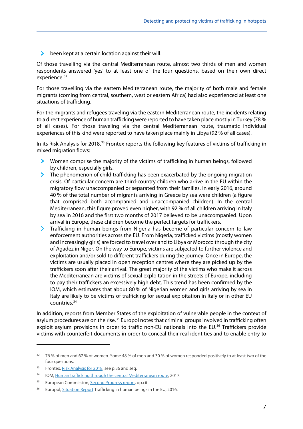$\blacktriangleright$  been kept at a certain location against their will.

Of those travelling via the central Mediterranean route, almost two thirds of men and women respondents answered 'yes' to at least one of the four questions, based on their own direct experience.<sup>32</sup>

For those travelling via the eastern Mediterranean route, the majority of both male and female migrants (coming from central, southern, west or eastern Africa) had also experienced at least one situations of trafficking.

For the migrants and refugees traveling via the eastern Mediterranean route, the incidents relating to a direct experience of human trafficking were reported to have taken place mostly in Turkey (78 % of all cases). For those traveling via the central Mediterranean route, traumatic individual experiences of this kind were reported to have taken place mainly in Libya (92 % of all cases).

In its Risk Analysis for 2018,<sup>[33](#page-18-1)</sup> Frontex reports the following key features of victims of trafficking in mixed migration flows:

- $\geq$  Women comprise the majority of the victims of trafficking in human beings, followed by children, especially girls.
- $\blacktriangleright$  The phenomenon of child trafficking has been exacerbated by the ongoing migration crisis. Of particular concern are third-country children who arrive in the EU within the migratory flow unaccompanied or separated from their families. In early 2016, around 40 % of the total number of migrants arriving in Greece by sea were children (a figure that comprised both accompanied and unaccompanied children). In the central Mediterranean, this figure proved even higher, with 92 % of all children arriving in Italy by sea in 2016 and the first two months of 2017 believed to be unaccompanied. Upon arrival in Europe, these children become the perfect targets for traffickers.
- **Trafficking in human beings from Nigeria has become of particular concern to law** enforcement authorities across the EU. From Nigeria, trafficked victims (mostly women and increasingly girls) are forced to travel overland to Libya or Morocco through the city of Agadez in Niger. On the way to Europe, victims are subjected to further violence and exploitation and/or sold to different traffickers during the journey. Once in Europe, the victims are usually placed in open reception centres where they are picked up by the traffickers soon after their arrival. The great majority of the victims who make it across the Mediterranean are victims of sexual exploitation in the streets of Europe, including to pay their traffickers an excessively high debt. This trend has been confirmed by the IOM, which estimates that about 80 % of Nigerian women and girls arriving by sea in Italy are likely to be victims of trafficking for sexual exploitation in Italy or in other EU countries.[34](#page-18-2)

In addition, reports from Member States of the exploitation of vulnerable people in the context of asylum procedures are on the rise.<sup>[35](#page-18-3)</sup> Europol notes that criminal groups involved in trafficking often exploit asylum provisions in order to traffic non-EU nationals into the EU.<sup>[36](#page-18-4)</sup> Traffickers provide victims with counterfeit documents in order to conceal their real identities and to enable entry to

<span id="page-18-0"></span><sup>&</sup>lt;sup>32</sup> 76 % of men and 67 % of women. Some 48 % of men and 30 % of women responded positively to at least two of the four questions.

<span id="page-18-1"></span><sup>&</sup>lt;sup>33</sup> Frontex[, Risk Analysis for 2018,](https://frontex.europa.eu/assets/Publications/Risk_Analysis/Risk_Analysis/Risk_Analysis_for_2018.pdf) see p.36 and seq.

<span id="page-18-2"></span><sup>&</sup>lt;sup>34</sup> IOM[, Human trafficking through the central Mediterranean route,](https://italy.iom.int/sites/default/files/news-documents/IOMReport_Trafficking.pdf) 2017.

<span id="page-18-3"></span><sup>&</sup>lt;sup>35</sup> European Commission[, Second Progress report,](http://europa.eu/rapid/press-release_IP-18-6639_en.htm) op.cit.

<span id="page-18-4"></span><sup>&</sup>lt;sup>36</sup> Europol, **Situation Report Trafficking in human beings in the EU**, 2016.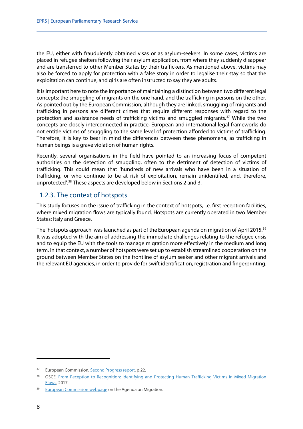the EU, either with fraudulently obtained visas or as asylum-seekers. In some cases, victims are placed in refugee shelters following their asylum application, from where they suddenly disappear and are transferred to other Member States by their traffickers. As mentioned above, victims may also be forced to apply for protection with a false story in order to legalise their stay so that the exploitation can continue, and girls are often instructed to say they are adults.

It is important here to note the importance of maintaining a distinction between two different legal concepts: the smuggling of migrants on the one hand, and the trafficking in persons on the other. As pointed out by the European Commission, although they are linked, smuggling of migrants and trafficking in persons are different crimes that require different responses with regard to the protection and assistance needs of trafficking victims and smuggled migrants.<sup>[37](#page-19-1)</sup> While the two concepts are closely interconnected in practice, European and international legal frameworks do not entitle victims of smuggling to the same level of protection afforded to victims of trafficking. Therefore, it is key to bear in mind the differences between these phenomena, as trafficking in human beings is a grave violation of human rights.

Recently, several organisations in the field have pointed to an increasing focus of competent authorities on the detection of smuggling, often to the detriment of detection of victims of trafficking. This could mean that 'hundreds of new arrivals who have been in a situation of trafficking, or who continue to be at risk of exploitation, remain unidentified, and, therefore, unprotected'. [38](#page-19-2) These aspects are developed below in Sections 2 and 3.

### <span id="page-19-0"></span>1.2.3. The context of hotspots

This study focuses on the issue of trafficking in the context of hotspots, i.e. first reception facilities, where mixed migration flows are typically found. Hotspots are currently operated in two Member States: Italy and Greece.

The 'hotspots approach' was launched as part of the European agenda on migration of April 2015.[39](#page-19-3) It was adopted with the aim of addressing the immediate challenges relating to the refugee crisis and to equip the EU with the tools to manage migration more effectively in the medium and long term. In that context, a number of hotspots were set up to establish streamlined cooperation on the ground between Member States on the frontline of asylum seeker and other migrant arrivals and the relevant EU agencies, in order to provide for swift identification, registration and fingerprinting.

<span id="page-19-1"></span><sup>&</sup>lt;sup>37</sup> European Commission, **Second Progress report**, p.22.

<span id="page-19-2"></span><sup>38</sup> OSCE, From Reception to Recognition: Identifying and Protecting Human Trafficking Victims in Mixed Migration [Flows,](https://www.osce.org/secretariat/367061?download=true) 2017.

<span id="page-19-3"></span><sup>&</sup>lt;sup>39</sup> [European Commission webpage](https://ec.europa.eu/home-affairs/what-we-do/policies/european-agenda-migration_en) on the Agenda on Migration.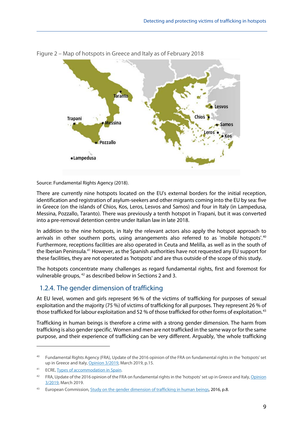

<span id="page-20-1"></span>Figure 2 – Map of hotspots in Greece and Italy as of February 2018

Source: Fundamental Rights Agency (2018).

There are currently nine hotspots located on the EU's external borders for the initial reception, identification and registration of asylum-seekers and other migrants coming into the EU by sea: five in Greece (on the islands of Chios, Kos, Leros, Lesvos and Samos) and four in Italy (in Lampedusa, Messina, Pozzallo, Taranto). There was previously a tenth hotspot in Trapani, but it was converted into a pre-removal detention centre under Italian law in late 2018.

In addition to the nine hotspots, in Italy the relevant actors also apply the hotspot approach to arrivals in other southern ports, using arrangements also referred to as 'mobile hotspots'.<sup>[40](#page-20-2)</sup> Furthermore, receptions facilities are also operated in Ceuta and Melilla, as well as in the south of the Iberian Peninsula.[41](#page-20-3) However, as the Spanish authorities have not requested any EU support for these facilities, they are not operated as 'hotspots' and are thus outside of the scope of this study.

The hotspots concentrate many challenges as regard fundamental rights, first and foremost for vulnerable groups, [42](#page-20-4) as described below in Sections 2 and 3.

### <span id="page-20-0"></span>1.2.4. The gender dimension of trafficking

At EU level, women and girls represent 96 % of the victims of trafficking for purposes of sexual exploitation and the majority (75 %) of victims of trafficking for all purposes. They represent 26 % of those trafficked for labour exploitation and 52 % of those trafficked for other forms of exploitation.<sup>[43](#page-20-5)</sup>

Trafficking in human beings is therefore a crime with a strong gender dimension. The harm from trafficking is also gender specific. Women and men are not trafficked in the same way or for the same purpose, and their experience of trafficking can be very different. Arguably, 'the whole trafficking

<span id="page-20-2"></span><sup>40</sup> Fundamental Rights Agency (FRA), Update of the 2016 opinion of the FRA on fundamental rights in the 'hotspots' set up in Greece and Italy[, Opinion 3/2019,](https://fra.europa.eu/sites/default/files/fra_uploads/fra-2019-opinion-hotspots-update-03-2019_en.pdf) March 2019, p.15.

<span id="page-20-3"></span><sup>41</sup> ECRE[, Types of accommodation in Spain.](https://www.asylumineurope.org/reports/country/spain/types-accommodation)

<span id="page-20-4"></span><sup>&</sup>lt;sup>42</sup> FRA, Update of the 2016 opinion of the FRA on fundamental rights in the 'hotspots' set up in Greece and Italy, Opinion [3/2019,](https://fra.europa.eu/sites/default/files/fra_uploads/fra-2019-opinion-hotspots-update-03-2019_en.pdf) March 2019.

<span id="page-20-5"></span><sup>&</sup>lt;sup>43</sup> European Commission, **Study on the gender dimension of trafficking in human beings, 2016, p.8.**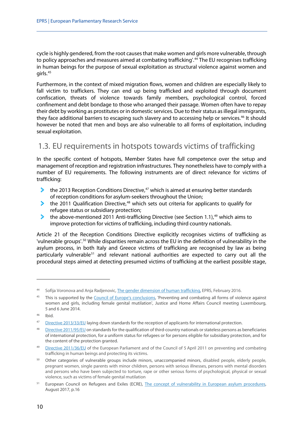cycle is highly gendered, from the root causes that make women and girls more vulnerable, through to policy approaches and measures aimed at combating trafficking'.<sup>[44](#page-21-1)</sup> The EU recognises trafficking in human beings for the purpose of sexual exploitation as structural violence against women and girls.[45](#page-21-2)

Furthermore, in the context of mixed migration flows, women and children are especially likely to fall victim to traffickers. They can end up being trafficked and exploited through document confiscation, threats of violence towards family members, psychological control, forced confinement and debt bondage to those who arranged their passage. Women often have to repay their debt by working as prostitutes or in domestic services. Due to their status as illegal immigrants, they face additional barriers to escaping such slavery and to accessing help or services.<sup>[46](#page-21-3)</sup> It should however be noted that men and boys are also vulnerable to all forms of exploitation, including sexual exploitation.

## <span id="page-21-0"></span>1.3. EU requirements in hotspots towards victims of trafficking

In the specific context of hotspots, Member States have full competence over the setup and management of reception and registration infrastructures. They nonetheless have to comply with a number of EU requirements. The following instruments are of direct relevance for victims of trafficking:

- $\blacktriangleright$  the 2013 Reception Conditions Directive,<sup>[47](#page-21-4)</sup> which is aimed at ensuring better standards of reception conditions for asylum-seekers throughout the Union;
- $\blacktriangleright$  the 2011 Qualification Directive,<sup>[48](#page-21-5)</sup> which sets out criteria for applicants to qualify for refugee status or subsidiary protection;
- the above-mentioned 2011 Anti-trafficking Directive (see Section 1.1), $49$  which aims to ×. improve protection for victims of trafficking, including third country nationals.

Article 21 of the Reception Conditions Directive explicitly recognises victims of trafficking as 'vulnerable groups'. [50](#page-21-7) While disparities remain across the EU in the definition of vulnerability in the asylum process, in both Italy and Greece victims of trafficking are recognised by law as being particularly vulnerable<sup>[51](#page-21-8)</sup> and relevant national authorities are expected to carry out all the procedural steps aimed at detecting presumed victims of trafficking at the earliest possible stage,

-

<span id="page-21-1"></span><sup>44</sup> Sofija Voronova and Anja Radjenovic[, The gender dimension of human trafficking,](http://www.europarl.europa.eu/thinktank/en/document.html?reference=EPRS_BRI(2016)577950) EPRS, February 2016.

<span id="page-21-2"></span><sup>&</sup>lt;sup>45</sup> This is supported by the [Council of Europe's conclusions,](https://www.consilium.europa.eu/media/28077/143103.pdf) 'Preventing and combating all forms of violence against women and girls, including female genital mutilation', Justice and Home Affairs Council meeting Luxembourg, 5 and 6 June 2014.

<span id="page-21-3"></span><sup>46</sup> Ibid.

<span id="page-21-4"></span><sup>&</sup>lt;sup>47</sup> [Directive 2013/33/EU](https://eur-lex.europa.eu/legal-content/EN/TXT/?uri=celex%3A32013L0033) laying down standards for the reception of applicants for international protection.

<span id="page-21-5"></span><sup>48</sup> [Directive 2011/95/EU](https://eur-lex.europa.eu/legal-content/EN/TXT/?uri=CELEX%3A32011L0095) on standards for the qualification of third-country nationals or stateless persons as beneficiaries of international protection, for a uniform status for refugees or for persons eligible for subsidiary protection, and for the content of the protection granted.

<span id="page-21-6"></span><sup>49</sup> [Directive 2011/36/EU](https://eur-lex.europa.eu/legal-content/en/TXT/?uri=CELEX%3A32011L0036) of the European Parliament and of the Council of 5 April 2011 on preventing and combating trafficking in human beings and protecting its victims.

<span id="page-21-7"></span><sup>&</sup>lt;sup>50</sup> Other categories of vulnerable groups include minors, unaccompanied minors, disabled people, elderly people, pregnant women, single parents with minor children, persons with serious illnesses, persons with mental disorders and persons who have been subjected to torture, rape or other serious forms of psychological, physical or sexual violence, such as victims of female genital mutilation

<span id="page-21-8"></span><sup>&</sup>lt;sup>51</sup> European Council on Refugees and Exiles (ECRE), The concept of vulnerability in European asylum procedures, August 2017, p.16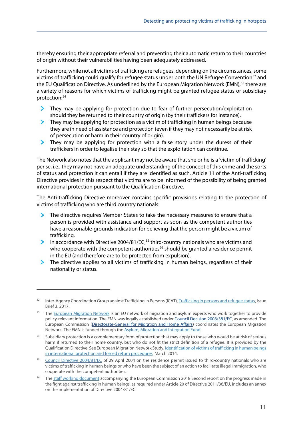thereby ensuring their appropriate referral and preventing their automatic return to their countries of origin without their vulnerabilities having been adequately addressed.

Furthermore, while not all victims of trafficking are refugees, depending on the circumstances, some victims of trafficking could qualify for refugee status under both the UN Refugee Convention<sup>[52](#page-22-0)</sup> and the EU Qualification Directive. As underlined by the European Migration Network (EMN),<sup>53</sup> there are a variety of reasons for which victims of trafficking might be granted refugee status or subsidiary protection:[54](#page-22-2)

- $\blacktriangleright$  They may be applying for protection due to fear of further persecution/exploitation should they be returned to their country of origin (by their traffickers for instance).
- **They may be applying for protection as a victim of trafficking in human beings because** they are in need of assistance and protection (even if they may not necessarily be at risk of persecution or harm in their country of origin).
- They may be applying for protection with a false story under the duress of their э. traffickers in order to legalise their stay so that the exploitation can continue.

The Network also notes that the applicant may not be aware that she or he is a 'victim of trafficking' per se, i.e., they may not have an adequate understanding of the concept of this crime and the sorts of status and protection it can entail if they are identified as such. Article 11 of the Anti-trafficking Directive provides in this respect that victims are to be informed of the possibility of being granted international protection pursuant to the Qualification Directive.

The Anti-trafficking Directive moreover contains specific provisions relating to the protection of victims of trafficking who are third country nationals:

- $\blacktriangleright$  The directive requires Member States to take the necessary measures to ensure that a person is provided with assistance and support as soon as the competent authorities have a reasonable-grounds indication for believing that the person might be a victim of trafficking.
- In accordance with Directive 2004/81/EC,<sup>[55](#page-22-3)</sup> third-country nationals who are victims and who cooperate with the competent authorities<sup>[56](#page-22-4)</sup> should be granted a residence permit in the EU (and therefore are to be protected from expulsion).
- ×. The directive applies to all victims of trafficking in human beings, regardless of their nationality or status.

<span id="page-22-0"></span><sup>52</sup> Inter-Agency Coordination Group against Trafficking in Persons (ICAT), [Trafficking in persons and refugee status,](http://icat.network/sites/default/files/publications/documents/ICAT-IB-03-V.2.pdf) Issue Brief 3, 2017.

<span id="page-22-1"></span><sup>&</sup>lt;sup>53</sup> Th[e European Migration Network](https://ec.europa.eu/home-affairs/content/about-emn-0_en) is an EU network of migration and asylum experts who work together to provide policy-relevant information. The EMN was legally established unde[r Council Decision 2008/381/EC,](http://eur-lex.europa.eu/legal-content/EN/ALL/?uri=CELEX:32008D0381) as amended. The European Commission [\(Directorate-General for Migration and Home Affairs\)](https://ec.europa.eu/home-affairs/) coordinates the European Migration Network. The EMN is funded through th[e Asylum, Migration and Integration Fund.](https://ec.europa.eu/home-affairs/financing/fundings/migration-asylum-borders/asylum-migration-integration-fund_en)

<span id="page-22-2"></span><sup>&</sup>lt;sup>54</sup> Subsidiary protection is a complementary form of protection that may apply to those who would be at risk of serious harm if returned to their home country, but who do not fit the strict definition of a refugee. It is provided by the Qualification Directive. See European Migration Network Study[, Identification of victims of trafficking in human beings](https://ec.europa.eu/home-affairs/sites/homeaffairs/files/what-we-do/networks/european_migration_network/reports/docs/emn-studies/emn_synthesis_identification_victims_trafficking_final_13march2014.pdf)  [in international protection and forced return procedures,](https://ec.europa.eu/home-affairs/sites/homeaffairs/files/what-we-do/networks/european_migration_network/reports/docs/emn-studies/emn_synthesis_identification_victims_trafficking_final_13march2014.pdf) March 2014.

<span id="page-22-3"></span><sup>55</sup> [Council Directive 2004/81/EC](https://eur-lex.europa.eu/legal-content/EN/ALL/?uri=CELEX%3A32004L0081) of 29 April 2004 on the residence permit issued to third-country nationals who are victims of trafficking in human beings or who have been the subject of an action to facilitate illegal immigration, who cooperate with the competent authorities.

<span id="page-22-4"></span><sup>&</sup>lt;sup>56</sup> Th[e staff working document](https://ec.europa.eu/home-affairs/sites/homeaffairs/files/what-we-do/policies/european-agenda-security/20181204_swd-2018-473-commission-staff-working-document_en.pdf) accompanying the European Commission 2018 Second report on the progress made in the fight against trafficking in human beings, as required under Article 20 of Directive 2011/36/EU, includes an annex on the implementation of Directive 2004/81/EC.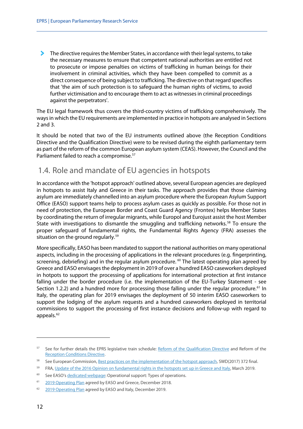$\blacktriangleright$  The directive requires the Member States, in accordance with their legal systems, to take the necessary measures to ensure that competent national authorities are entitled not to prosecute or impose penalties on victims of trafficking in human beings for their involvement in criminal activities, which they have been compelled to commit as a direct consequence of being subject to trafficking. The directive on that regard specifies that 'the aim of such protection is to safeguard the human rights of victims, to avoid further victimisation and to encourage them to act as witnesses in criminal proceedings against the perpetrators'.

The EU legal framework thus covers the third-country victims of trafficking comprehensively. The ways in which the EU requirements are implemented in practice in hotspots are analysed in Sections 2 and 3.

It should be noted that two of the EU instruments outlined above (the Reception Conditions Directive and the Qualification Directive) were to be revised during the eighth parliamentary term as part of the reform of the common European asylum system (CEAS). However, the Council and the Parliament failed to reach a compromise.<sup>[57](#page-23-1)</sup>

## <span id="page-23-0"></span>1.4. Role and mandate of EU agencies in hotspots

In accordance with the 'hotspot approach' outlined above, several European agencies are deployed in hotspots to assist Italy and Greece in their tasks. The approach provides that those claiming asylum are immediately channelled into an asylum procedure where the European Asylum Support Office (EASO) support teams help to process asylum cases as quickly as possible. For those not in need of protection, the European Border and Coast Guard Agency (Frontex) helps Member States by coordinating the return of irregular migrants, while Europol and Eurojust assist the host Member State with investigations to dismantle the smuggling and trafficking networks.[58](#page-23-2) To ensure the proper safeguard of fundamental rights, the Fundamental Rights Agency (FRA) assesses the situation on the ground regularly.<sup>[59](#page-23-3)</sup>

More specifically, EASO has been mandated to support the national authorities on many operational aspects, including in the processing of applications in the relevant procedures (e.g. fingerprinting, screening, debriefing) and in the regular asylum procedure.<sup>[60](#page-23-4)</sup> The latest operating plan agreed by Greece and EASO envisages the deployment in 2019 of over a hundred EASO caseworkers deployed in hotpots to support the processing of applications for international protection at first instance falling under the border procedure (i.e. the implementation of the EU-Turkey Statement - see Section 1.2.2) and a hundred more for processing those falling under the regular procedure.<sup>[61](#page-23-5)</sup> In Italy, the operating plan for 2019 envisages the deployment of 50 interim EASO caseworkers to support the lodging of the asylum requests and a hundred caseworkers deployed in territorial commissions to support the processing of first instance decisions and follow-up with regard to appeals.<sup>[62](#page-23-6)</sup>

<span id="page-23-1"></span><sup>&</sup>lt;sup>57</sup> See for further details the EPRS legislative train schedule: [Reform of the Qualification Directive](http://www.europarl.europa.eu/legislative-train/theme-towards-a-new-policy-on-migration/file-jd-reform-of-the-qualification-directive) and Reform of the [Reception Conditions Directive.](http://www.europarl.europa.eu/legislative-train/theme-towards-a-new-policy-on-migration/file-jd-reform-of-the-reception-conditions-directive)

<span id="page-23-2"></span><sup>&</sup>lt;sup>58</sup> See European Commission[, Best practices on the implementation of the hotspot approach,](https://ec.europa.eu/home-affairs/sites/homeaffairs/files/what-we-do/policies/european-agenda-migration/20171114_commission_staff_working_document_en.pdf) SWD(2017) 372 final.

<span id="page-23-3"></span><sup>&</sup>lt;sup>59</sup> FRA[, Update of the 2016 Opinion on fundamental rights in the hotspots set up in Greece and Italy,](https://fra.europa.eu/en/opinion/2019/migration-hotspots-update) March 2019.

<span id="page-23-4"></span><sup>&</sup>lt;sup>60</sup> See EASO's **dedicated webpage:** Operational support: Types of operations.

<span id="page-23-5"></span><sup>61</sup> [2019 Operating Plan](https://www.easo.europa.eu/sites/default/files/OP-Greece-2019.pdf) agreed by EASO and Greece, December 2018.

<span id="page-23-6"></span><sup>&</sup>lt;sup>62</sup> [2019 Operating Plan](https://www.easo.europa.eu/sites/default/files/OP-Italy-2019.pdf) agreed by EASO and Italy, December 2019.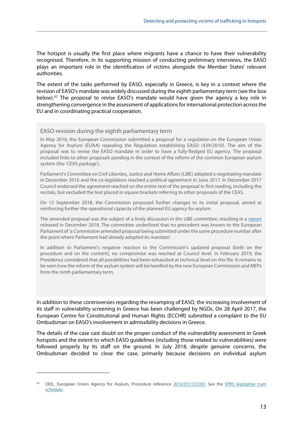The hotspot is usually the first place where migrants have a chance to have their vulnerability recognised. Therefore, in its supporting mission of conducting preliminary interviews, the EASO plays an important role in the identification of victims alongside the Member States' relevant authorities.

The extent of the tasks performed by EASO, especially in Greece, is key in a context where the revision of EASO's mandate was widely discussed during the eighth parliamentary term (see the box below).<sup>63</sup> The proposal to revise EASO's mandate would have given the agency a key role in strengthening convergence in the assessment of applications for international protection across the EU and in coordinating practical cooperation.

#### EASO revision during the eighth parliamentary term

In May 2016, the European Commission submitted a proposal for a regulation on the European Union Agency for Asylum (EUAA) repealing the Regulation establishing EASO (439/2010). The aim of the proposal was to revise the EASO mandate in order to have a fully-fledged EU agency. The proposal included links to other proposals pending in the context of the reform of the common European asylum system (the 'CEAS package').

Parliament's Committee on Civil Liberties, Justice and Home Affairs (LIBE) adopted a negotiating mandate in December 2016 and the co-legislators reached a political agreement in June 2017. In December 2017 Council endorsed the agreement reached on the entire text of the proposal in first reading, including the recitals, but excluded the text placed in square brackets referring to other proposals of the CEAS.

On 12 September 2018, the Commission proposed further changes to its initial proposal, aimed at reinforcing further the operational capacity of the planned EU agency for asylum.

The amended proposal was the subject of a lively discussion in the LIBE committee, resulting in a [report](http://www.europarl.europa.eu/sides/getDoc.do?pubRef=-//EP//NONSGML+COMPARL+PE-629.502+02+DOC+PDF+V0//EN&language=EN) released in December 2018. The committee underlined that no precedent was known to the European Parliament of 'a Commission amended proposal being submitted under the same procedure number after the point where Parliament had already adopted its mandate'.

In addition to Parliament's negative reaction to the Commission's updated proposal (both on the procedure and on the content), no compromise was reached at Council level. In February 2019, the Presidency considered that all possibilities had been exhausted at technical level on this file. It remains to be seen how the reform of the asylum system will be handled by the new European Commission and MEPs from the ninth parliamentary term.

In addition to these controversies regarding the revamping of EASO, the increasing involvement of its staff in vulnerability screening in Greece has been challenged by NGOs. On 28 April 2017, the European Centre for Constitutional and Human Rights (ECCHR) submitted a complaint to the EU Ombudsman on EASO's involvement in admissibility decisions in Greece.

The details of the case cast doubt on the proper conduct of the vulnerability assessment in Greek hotspots and the extent to which EASO guidelines (including those related to vulnerabilities) were followed properly by its staff on the ground. In July 2018, despite genuine concerns, the Ombudsman decided to close the case, primarily because decisions on individual asylum

<span id="page-24-0"></span><sup>&</sup>lt;sup>63</sup> OEIL, European Union Agency for Asylum, Procedure reference [2016/0131\(COD\).](https://oeil.secure.europarl.europa.eu/oeil/popups/ficheprocedure.do?reference=2016/0131(COD)&l=en) See the EPRS legislative train [schedule.](http://www.europarl.europa.eu/legislative-train/theme-towards-a-new-policy-on-migration/file-jd-strengthening-the-european-asylum-support-office-(easo))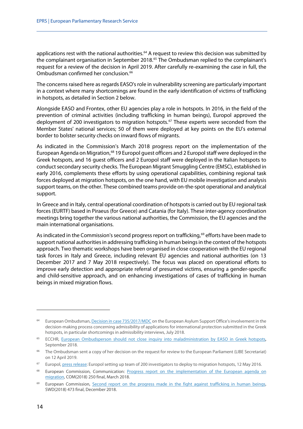applications rest with the national authorities.<sup>[64](#page-25-0)</sup> A request to review this decision was submitted by the complainant organisation in September 2018.<sup>[65](#page-25-1)</sup> The Ombudsman replied to the complainant's request for a review of the decision in April 2019. After carefully re‐examining the case in full, the Ombudsman confirmed her conclusion.<sup>[66](#page-25-2)</sup>

The concerns raised here as regards EASO's role in vulnerability screening are particularly important in a context where many shortcomings are found in the early identification of victims of trafficking in hotspots, as detailed in Section 2 below.

Alongside EASO and Frontex, other EU agencies play a role in hotspots. In 2016, in the field of the prevention of criminal activities (including trafficking in human beings), Europol approved the deployment of 200 investigators to migration hotspots.<sup>[67](#page-25-3)</sup> These experts were seconded from the Member States' national services; 50 of them were deployed at key points on the EU's external border to bolster security checks on inward flows of migrants.

As indicated in the Commission's March 2018 progress report on the implementation of the European Agenda on Migration,<sup>[68](#page-25-4)</sup> 19 Europol guest officers and 2 Europol staff were deployed in the Greek hotspots, and 16 guest officers and 2 Europol staff were deployed in the Italian hotspots to conduct secondary security checks. The European Migrant Smuggling Centre (EMSC), established in early 2016, complements these efforts by using operational capabilities, combining regional task forces deployed at migration hotspots, on the one hand, with EU mobile investigation and analysis support teams, on the other. These combined teams provide on-the-spot operational and analytical support.

In Greece and in Italy, central operational coordination of hotspots is carried out by EU regional task forces (EURTF) based in Piraeus (for Greece) and Catania (for Italy). These inter-agency coordination meetings bring together the various national authorities, the Commission, the EU agencies and the main international organisations.

As indicated in the Commission's second progress report on trafficking,<sup>[69](#page-25-5)</sup> efforts have been made to support national authorities in addressing trafficking in human beings in the context of the hotspots approach. Two thematic workshops have been organised in close cooperation with the EU regional task forces in Italy and Greece, including relevant EU agencies and national authorities (on 13 December 2017 and 7 May 2018 respectively). The focus was placed on operational efforts to improve early detection and appropriate referral of presumed victims, ensuring a gender-specific and child-sensitive approach, and on enhancing investigations of cases of trafficking in human beings in mixed migration flows.

<span id="page-25-0"></span><sup>&</sup>lt;sup>64</sup> European Ombudsman[, Decision in case 735/2017/MDC](https://www.ombudsman.europa.eu/en/decision/en/98711) on the European Asylum Support Office's involvement in the decision-making process concerning admissibility of applications for international protection submitted in the Greek hotspots, in particular shortcomings in admissibility interviews, July 2018.

<span id="page-25-1"></span><sup>&</sup>lt;sup>65</sup> ECCHR, European Ombudsperson should not close inquiry into maladministration by EASO in Greek hotspots, September 2018.

<span id="page-25-2"></span><sup>&</sup>lt;sup>66</sup> The Ombudsman sent a copy of her decision on the request for review to the European Parliament (LIBE Secretariat) on 12 April 2019.

<span id="page-25-3"></span><sup>&</sup>lt;sup>67</sup> Europol, [press release:](https://www.europol.europa.eu/newsroom/news/europol-setting-team-of-200-investigators-to-deploy-to-migration-hotspots) Europol setting up team of 200 investigators to deploy to migration hotspots, 12 May 2016.

<span id="page-25-4"></span><sup>&</sup>lt;sup>68</sup> European Commission, Communication: Progress report on the implementation of the European agenda on [migration,](https://ec.europa.eu/transparency/regdoc/rep/1/2018/EN/COM-2018-250-F1-EN-MAIN-PART-1.PDF) COM(2018) 250 final, March 2018.

<span id="page-25-5"></span><sup>&</sup>lt;sup>69</sup> European Commission, Second report on the progress made in the fight against trafficking in human beings, SWD(2018) 473 final, December 2018.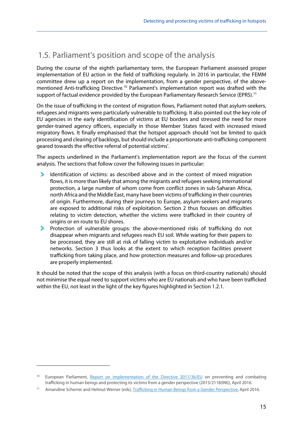# <span id="page-26-0"></span>1.5. Parliament's position and scope of the analysis

During the course of the eighth parliamentary term, the European Parliament assessed proper implementation of EU action in the field of trafficking regularly. In 2016 in particular, the FEMM committee drew up a report on the implementation, from a gender perspective, of the above-mentioned Anti-trafficking Directive.<sup>[70](#page-26-1)</sup> Parliament's implementation report was drafted with the support of factual evidence provided by the European Parliamentary Research Service (EPRS).<sup>[71](#page-26-2)</sup>

On the issue of trafficking in the context of migration flows, Parliament noted that asylum-seekers, refugees and migrants were particularly vulnerable to trafficking. It also pointed out the key role of EU agencies in the early identification of victims at EU borders and stressed the need for more gender-trained agency officers, especially in those Member States faced with increased mixed migratory flows. It finally emphasised that the hotspot approach should 'not be limited to quick processing and clearing of backlogs, but should include a proportionate anti-trafficking component geared towards the effective referral of potential victims'.

The aspects underlined in the Parliament's implementation report are the focus of the current analysis. The sections that follow cover the following issues in particular:

- Identification of victims: as described above and in the context of mixed migration flows, it is more than likely that among the migrants and refugees seeking international protection, a large number of whom come from conflict zones in sub-Saharan Africa, north Africa and the Middle East, many have been victims of trafficking in their countries of origin. Furthermore, during their journeys to Europe, asylum-seekers and migrants are exposed to additional risks of exploitation. Section 2 thus focuses on difficulties relating to victim detection, whether the victims were trafficked in their country of origins or en route to EU shores.
- ×. Protection of vulnerable groups: the above-mentioned risks of trafficking do not disappear when migrants and refugees reach EU soil. While waiting for their papers to be processed, they are still at risk of falling victim to exploitative individuals and/or networks. Section 3 thus looks at the extent to which reception facilities prevent trafficking from taking place, and how protection measures and follow-up procedures are properly implemented.

It should be noted that the scope of this analysis (with a focus on third-country nationals) should not minimise the equal need to support victims who are EU nationals and who have been trafficked within the EU, not least in the light of the key figures highlighted in Section 1.2.1.

<span id="page-26-1"></span> $70$  European Parliament, [Report on implementation of the Directive 2011/36/EU](http://www.europarl.europa.eu/doceo/document/A-8-2016-0144_EN.html) on preventing and combating trafficking in human beings and protecting its victims from a gender perspective (2015/2118(INI)), April 2016.

<span id="page-26-2"></span><sup>&</sup>lt;sup>71</sup> Amandine Scherrer and Helmut Werner (eds)[, Trafficking in Human Beings from a Gender Perspective,](http://www.europarl.europa.eu/thinktank/en/document.html?reference=EPRS_STU%282016%29581412) April 2016.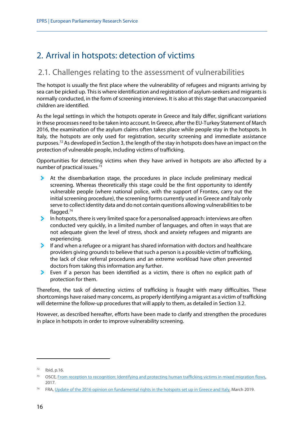# <span id="page-27-0"></span>2. Arrival in hotspots: detection of victims

# <span id="page-27-1"></span>2.1. Challenges relating to the assessment of vulnerabilities

The hotspot is usually the first place where the vulnerability of refugees and migrants arriving by sea can be picked up. This is where identification and registration of asylum-seekers and migrants is normally conducted, in the form of screening interviews. It is also at this stage that unaccompanied children are identified.

As the legal settings in which the hotspots operate in Greece and Italy differ, significant variations in these processes need to be taken into account. In Greece, after the EU-Turkey Statement of March 2016, the examination of the asylum claims often takes place while people stay in the hotspots. In Italy, the hotspots are only used for registration, security screening and immediate assistance purposes.[72](#page-27-2) As developed in Section 3, the length of the stay in hotspots does have an impact on the protection of vulnerable people, including victims of trafficking.

Opportunities for detecting victims when they have arrived in hotspots are also affected by a number of practical issues.<sup>[73](#page-27-3)</sup>

- At the disembarkation stage, the procedures in place include preliminary medical screening. Whereas theoretically this stage could be the first opportunity to identify vulnerable people (where national police, with the support of Frontex, carry out the initial screening procedure), the screening forms currently used in Greece and Italy only serve to collect identity data and do not contain questions allowing vulnerabilities to be flagged.[74](#page-27-4)
- In hotspots, there is very limited space for a personalised approach: interviews are often conducted very quickly, in a limited number of languages, and often in ways that are not adequate given the level of stress, shock and anxiety refugees and migrants are experiencing.
- $\blacktriangleright$  If and when a refugee or a migrant has shared information with doctors and healthcare providers giving grounds to believe that such a person is a possible victim of trafficking, the lack of clear referral procedures and an extreme workload have often prevented doctors from taking this information any further.
- $\blacktriangleright$  Even if a person has been identified as a victim, there is often no explicit path of protection for them.

Therefore, the task of detecting victims of trafficking is fraught with many difficulties. These shortcomings have raised many concerns, as properly identifying a migrant as a victim of trafficking will determine the follow-up procedures that will apply to them, as detailed in Section 3.2.

However, as described hereafter, efforts have been made to clarify and strengthen the procedures in place in hotspots in order to improve vulnerability screening.

<span id="page-27-2"></span><sup>72</sup> Ibid, p.16.

<span id="page-27-3"></span><sup>&</sup>lt;sup>73</sup> OSCE, From reception to recognition: Identifying and protecting human trafficking victims in mixed migration flows, 2017.

<span id="page-27-4"></span><sup>&</sup>lt;sup>74</sup> FRA[, Update of the 2016 opinion on fundamental rights in the hotspots set up in Greece and Italy,](https://fra.europa.eu/en/opinion/2019/migration-hotspots-update) March 2019.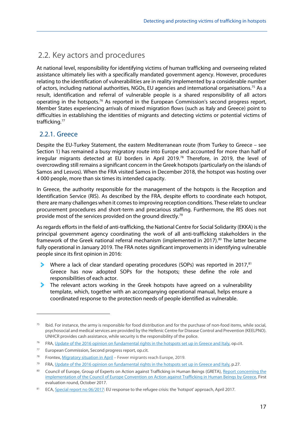# <span id="page-28-0"></span>2.2. Key actors and procedures

At national level, responsibility for identifying victims of human trafficking and overseeing related assistance ultimately lies with a specifically mandated government agency. However, procedures relating to the identification of vulnerabilities are in reality implemented by a considerable number of actors, including national authorities, NGOs, EU agencies and international organisations.<sup>[75](#page-28-2)</sup> As a result, identification and referral of vulnerable people is a shared responsibility of all actors operating in the hotspots.[76](#page-28-3) As reported in the European Commission's second progress report, Member States experiencing arrivals of mixed migration flows (such as Italy and Greece) point to difficulties in establishing the identities of migrants and detecting victims or potential victims of trafficking.[77](#page-28-4)

### <span id="page-28-1"></span>2.2.1. Greece

**.** 

Despite the EU-Turkey Statement, the eastern Mediterranean route (from Turkey to Greece – see Section 1) has remained a busy migratory route into Europe and accounted for more than half of irregular migrants detected at EU borders in April 2019.<sup>[78](#page-28-5)</sup> Therefore, in 2019, the level of overcrowding still remains a significant concern in the Greek hotspots (particularly on the islands of Samos and Lesvos). When the FRA visited Samos in December 2018, the hotspot was hosting over 4 000 people, more than six times its intended capacity.

In Greece, the authority responsible for the management of the hotspots is the Reception and Identification Service (RIS). As described by the FRA, despite efforts to coordinate each hotspot, there are many challenges when it comes to improving reception conditions. These relate to unclear procurement procedures and short-term and precarious staffing. Furthermore, the RIS does not provide most of the services provided on the ground directly.<sup>[79](#page-28-6)</sup>

As regards efforts in the field of anti-trafficking, the National Centre for Social Solidarity (EKKA) is the principal government agency coordinating the work of all anti-trafficking stakeholders in the framework of the Greek national referral mechanism (implemented in 2017).<sup>[80](#page-28-7)</sup> The latter became fully operational in January 2019. The FRA notes significant improvements in identifying vulnerable people since its first opinion in 2016:

- $\blacktriangleright$  Where a lack of clear standard operating procedures (SOPs) was reported in 2017, <sup>[81](#page-28-8)</sup> Greece has now adopted SOPs for the hotspots; these define the role and responsibilities of each actor.
- The relevant actors working in the Greek hotspots have agreed on a vulnerability template, which, together with an accompanying operational manual, helps ensure a coordinated response to the protection needs of people identified as vulnerable.

<span id="page-28-2"></span> $75$  Ibid. For instance, the army is responsible for food distribution and for the purchase of non-food items, while social, psychosocial and medical services are provided by the Hellenic Centre for Disease Control and Prevention (KEELPNO). UNHCR provides cash assistance, while security is the responsibility of the police.

<span id="page-28-3"></span><sup>&</sup>lt;sup>76</sup> FRA[, Update of the 2016 opinion on fundamental rights in the hotspots set up in Greece and Italy,](https://fra.europa.eu/en/opinion/2019/migration-hotspots-update) op.cit.

<span id="page-28-4"></span><sup>77</sup> European Commission, Second progress report, op.cit.

<span id="page-28-5"></span><sup>&</sup>lt;sup>78</sup> Frontex[, Migratory situation in April](https://frontex.europa.eu/media-centre/news-release/migratory-situation-in-april-fewer-migrants-reach-europe-l3XvUn) – Fewer migrants reach Europe, 2019.

<span id="page-28-6"></span><sup>79</sup> FRA[, Update of the 2016 opinion on fundamental rights in the hotspots set up in Greece and Italy,](https://fra.europa.eu/en/opinion/2019/migration-hotspots-update) p.27.

<span id="page-28-7"></span><sup>80</sup> Council of Europe, Group of Experts on Action against Trafficking in Human Beings (GRETA), Report concerning the [implementation of the Council of Europe Convention on Action against Trafficking in Human Beings by Greece,](https://rm.coe.int/greta-2017-27-fgr-gre-en/168075f2b6) First evaluation round, October 2017.

<span id="page-28-8"></span>ECA[, Special report no 06/2017:](https://www.eca.europa.eu/en/Pages/DocItem.aspx?did=41222) EU response to the refugee crisis: the 'hotspot' approach, April 2017.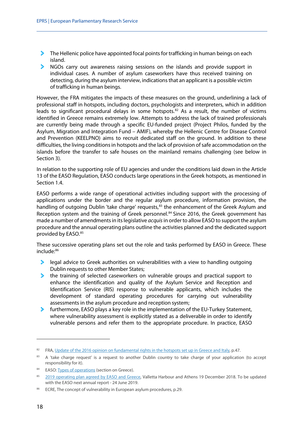- $\blacktriangleright$  The Hellenic police have appointed focal points for trafficking in human beings on each island.
- **NGOs carry out awareness raising sessions on the islands and provide support in** individual cases. A number of asylum caseworkers have thus received training on detecting, during the asylum interview, indications that an applicant is a possible victim of trafficking in human beings.

However, the FRA mitigates the impacts of these measures on the ground, underlining a lack of professional staff in hotspots, including doctors, psychologists and interpreters, which in addition leads to significant procedural delays in some hotspots.<sup>[82](#page-29-0)</sup> As a result, the number of victims identified in Greece remains extremely low. Attempts to address the lack of trained professionals are currently being made through a specific EU-funded project (Project Philos, funded by the Asylum, Migration and Integration Fund – AMIF), whereby the Hellenic Centre for Disease Control and Prevention (KEELPNO) aims to recruit dedicated staff on the ground. In addition to these difficulties, the living conditions in hotspots and the lack of provision of safe accommodation on the islands before the transfer to safe houses on the mainland remains challenging (see below in Section 3).

In relation to the supporting role of EU agencies and under the conditions laid down in the Article 13 of the EASO Regulation, EASO conducts large operations in the Greek hotspots, as mentioned in Section 1.4.

EASO performs a wide range of operational activities including support with the processing of applications under the border and the regular asylum procedure, information provision, the handling of outgoing Dublin 'take charge' requests,<sup>[83](#page-29-1)</sup> the enhancement of the Greek Asylum and Reception system and the training of Greek personnel.<sup>[84](#page-29-2)</sup> Since 2016, the Greek government has made a number of amendments in its legislative *acquis*in order to allow EASOto support the asylum procedure and the annual operating plans outline the activities planned and the dedicated support provided by EASO.[85](#page-29-3)

These successive operating plans set out the role and tasks performed by EASO in Greece. These include:[86](#page-29-4)

- **E** legal advice to Greek authorities on vulnerabilities with a view to handling outgoing Dublin requests to other Member States;
- $\blacktriangleright$  the training of selected caseworkers on vulnerable groups and practical support to enhance the identification and quality of the Asylum Service and Reception and Identification Service (RIS) response to vulnerable applicants, which includes the development of standard operating procedures for carrying out vulnerability assessments in the asylum procedure and reception system;
- $\blacktriangleright$  furthermore, EASO plays a key role in the implementation of the EU-Turkey Statement, where vulnerability assessment is explicitly stated as a deliverable in order to identify vulnerable persons and refer them to the appropriate procedure. In practice, EASO

<span id="page-29-0"></span><sup>&</sup>lt;sup>82</sup> FRA[, Update of the 2016 opinion on fundamental rights in the hotspots set up in Greece and Italy,](https://fra.europa.eu/en/opinion/2019/migration-hotspots-update) p.47.

<span id="page-29-1"></span><sup>&</sup>lt;sup>83</sup> A 'take charge request' is a request to another Dublin country to take charge of your application (to accept responsibility for it).

<span id="page-29-2"></span><sup>84</sup> EASO[: Types of operations](https://www.easo.europa.eu/operational-support/types-operations) (section on Greece).

<span id="page-29-3"></span><sup>85</sup> [2019 operating plan agreed by EASO and Greece,](https://www.easo.europa.eu/sites/default/files/OP-Greece-2019.pdf) Valletta Harbour and Athens 19 December 2018. To be updated with the EASO next annual report - 24 June 2019.

<span id="page-29-4"></span><sup>&</sup>lt;sup>86</sup> ECRE, The concept of vulnerability in European asylum procedures, p.29.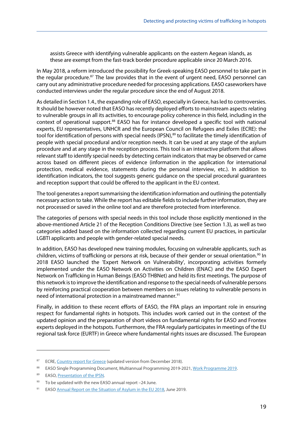assists Greece with identifying vulnerable applicants on the eastern Aegean islands, as these are exempt from the fast-track border procedure applicable since 20 March 2016.

In May 2018, a reform introduced the possibility for Greek-speaking EASO personnel to take part in the regular procedure.<sup>87</sup> The law provides that in the event of urgent need, EASO personnel can carry out any administrative procedure needed for processing applications. EASO caseworkers have conducted interviews under the regular procedure since the end of August 2018.

As detailed in Section 1.4., the expanding role of EASO, especially in Greece, has led to controversies. It should be however noted that EASO has recently deployed efforts to mainstream aspects relating to vulnerable groups in all its activities, to encourage policy coherence in this field, including in the context of operational support.<sup>[88](#page-30-1)</sup> EASO has for instance developed a specific tool with national experts, EU representatives, UNHCR and the European Council on Refugees and Exiles (ECRE): the tool for identification of persons with special needs (IPSN),<sup>[89](#page-30-2)</sup> to facilitate the timely identification of people with special procedural and/or reception needs. It can be used at any stage of the asylum procedure and at any stage in the reception process. This tool is an interactive platform that allows relevant staff to identify special needs by detecting certain indicators that may be observed or came across based on different pieces of evidence (information in the application for international protection, medical evidence, statements during the personal interview, etc.). In addition to identification indicators, the tool suggests generic guidance on the special procedural guarantees and reception support that could be offered to the applicant in the EU context.

The tool generates a report summarising the identification information and outlining the potentially necessary action to take. While the report has editable fields to include further information, they are not processed or saved in the online tool and are therefore protected from interference.

The categories of persons with special needs in this tool include those explicitly mentioned in the above-mentioned Article 21 of the Reception Conditions Directive (see Section 1.3), as well as two categories added based on the information collected regarding current EU practices, in particular LGBTI applicants and people with gender-related special needs.

In addition, EASO has developed new training modules, focusing on vulnerable applicants, such as children, victims of trafficking or persons at risk, because of their gender or sexual orientation.<sup>[90](#page-30-3)</sup> In 2018 EASO launched the 'Expert Network on Vulnerability', incorporating activities formerly implemented under the EASO Network on Activities on Children (ENAC) and the EASO Expert Network on Trafficking in Human Beings (EASO THBNet) and held its first meetings. The purpose of this network is to improve the identification and response to the special needs of vulnerable persons by reinforcing practical cooperation between members on issues relating to vulnerable persons in need of international protection in a mainstreamed manner.<sup>[91](#page-30-4)</sup>

Finally, in addition to these recent efforts of EASO, the FRA plays an important role in ensuring respect for fundamental rights in hotspots. This includes work carried out in the context of the updated opinion and the preparation of short videos on fundamental rights for EASO and Frontex experts deployed in the hotspots. Furthermore, the FRA regularly participates in meetings of the EU regional task force (EURTF) in Greece where fundamental rights issues are discussed. The European

<span id="page-30-0"></span><sup>87</sup> ECRE[, Country report for Greece](http://www.asylumineurope.org/reports/country/greece) (updated version from December 2018).

<span id="page-30-1"></span><sup>88</sup> EASO Single Programming Document, Multiannual Programming 2019-2021, [Work Programme 2019.](https://www.easo.europa.eu/sites/default/files/1_SPD2019-21%20Revision%201%20-%20adopted%2020181127.pdf)

<span id="page-30-2"></span><sup>89</sup> EASO[, Presentation of the IPSN.](https://ipsn.easo.europa.eu/)

<span id="page-30-3"></span><sup>90</sup> To be updated with the new EASO annual report –24 June.

<span id="page-30-4"></span><sup>91</sup> EAS[O Annual Report on the Situation of Asylum in the EU 2018,](https://www.easo.europa.eu/sites/default/files/easo-annual-report-2018-web.pdf) June 2019.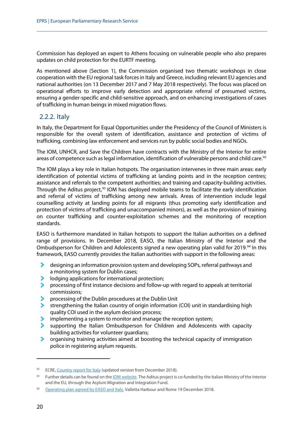Commission has deployed an expert to Athens focusing on vulnerable people who also prepares updates on child protection for the EURTF meeting.

As mentioned above (Section 1), the Commission organised two thematic workshops in close cooperation with the EU regional task forces in Italy and Greece, including relevant EU agencies and national authorities (on 13 December 2017 and 7 May 2018 respectively). The focus was placed on operational efforts to improve early detection and appropriate referral of presumed victims, ensuring a gender-specific and child-sensitive approach, and on enhancing investigations of cases of trafficking in human beings in mixed migration flows.

### <span id="page-31-0"></span>2.2.2. Italy

In Italy, the Department for Equal Opportunities under the Presidency of the Council of Ministers is responsible for the overall system of identification, assistance and protection of victims of trafficking, combining law enforcement and services run by public social bodies and NGOs.

The IOM, UNHCR, and Save the Children have contracts with the Ministry of the Interior for entire areas of competence such as legal information, identification of vulnerable persons and child care.<sup>[92](#page-31-1)</sup>

The IOM plays a key role in Italian hotspots. The organisation intervenes in three main areas: early identification of potential victims of trafficking at landing points and in the reception centres; assistance and referrals to the competent authorities; and training and capacity-building activities. Through the Aditus project,<sup>[93](#page-31-2)</sup> IOM has deployed mobile teams to facilitate the early identification and referral of victims of trafficking among new arrivals. Areas of intervention include legal counselling activity at landing points for all migrants (thus promoting early identification and protection of victims of trafficking and unaccompanied minors), as well as the provision of training on counter trafficking and counter-exploitation schemes and the monitoring of reception standards.

EASO is furthermore mandated in Italian hotspots to support the Italian authorities on a defined range of provisions. In December 2018, EASO, the Italian Ministry of the Interior and the Ombudsperson for Children and Adolescents signed a new operating plan valid for 2019.<sup>[94](#page-31-3)</sup> In this framework, EASO currently provides the Italian authorities with support in the following areas:

- **E** designing an information provision system and developing SOPs, referral pathways and a monitoring system for Dublin cases;
- $\blacktriangleright$  lodging applications for international protection;
- processing of first instance decisions and follow-up with regard to appeals at territorial commissions;
- processing of the Dublin procedures at the Dublin Unit
- strengthening the Italian country of origin information (COI) unit in standardising high quality COI used in the asylum decision process;
- implementing a system to monitor and manage the reception system;
- supporting the Italian Ombudsperson for Children and Adolescents with capacity building activities for volunteer guardians;
- $\blacktriangleright$  organising training activities aimed at boosting the technical capacity of immigration police in registering asylum requests.

<span id="page-31-1"></span><sup>&</sup>lt;sup>92</sup> ECRE[, Country report for Italy](http://www.asylumineurope.org/sites/default/files/report-download/aida_it_2018update.pdf) (updated version from December 2018).

<span id="page-31-2"></span><sup>93</sup> Further details can be found on th[e IOM website.](https://italy.iom.int/en/activities/assistance-vulnerable-groups-and-minors-/ADITUS) The Aditus project is co-funded by the Italian Ministry of the Interior and the EU, through the Asylum Migration and Integration Fund.

<span id="page-31-3"></span><sup>94</sup> [Operating plan agreed by EASO and Italy,](https://www.easo.europa.eu/sites/default/files/OP-Italy-2019.pdf) Valletta Harbour and Rome 19 December 2018.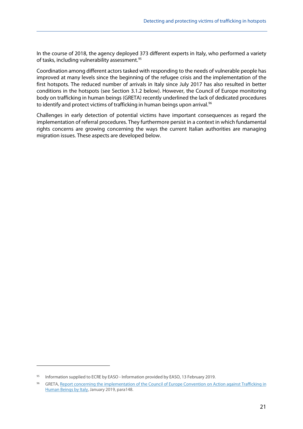In the course of 2018, the agency deployed 373 different experts in Italy, who performed a variety of tasks, including vulnerability assessment.<sup>[95](#page-32-0)</sup>

Coordination among different actors tasked with responding to the needs of vulnerable people has improved at many levels since the beginning of the refugee crisis and the implementation of the first hotspots. The reduced number of arrivals in Italy since July 2017 has also resulted in better conditions in the hotspots (see Section 3.1.2 below). However, the Council of Europe monitoring body on trafficking in human beings (GRETA) recently underlined the lack of dedicated procedures to identify and protect victims of trafficking in human beings upon arrival.<sup>[96](#page-32-1)</sup>

Challenges in early detection of potential victims have important consequences as regard the implementation of referral procedures. They furthermore persist in a context in which fundamental rights concerns are growing concerning the ways the current Italian authorities are managing migration issues. These aspects are developed below.

<span id="page-32-0"></span><sup>95</sup> Information supplied to ECRE by EASO - Information provided by EASO, 13 February 2019.

<span id="page-32-1"></span><sup>96</sup> GRETA, Report concerning the implementation of the Council of Europe Convention on Action against Trafficking in [Human Beings by Italy,](https://rm.coe.int/greta-2018-28-fgr-ita/168091f627) January 2019, para148.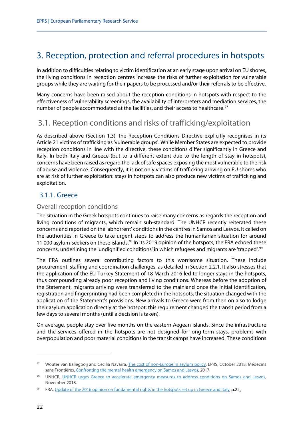# <span id="page-33-0"></span>3. Reception, protection and referral procedures in hotspots

In addition to difficulties relating to victim identification at an early stage upon arrival on EU shores, the living conditions in reception centres increase the risks of further exploitation for vulnerable groups while they are waiting for their papers to be processed and/or their referrals to be effective.

Many concerns have been raised about the reception conditions in hotspots with respect to the effectiveness of vulnerability screenings, the availability of interpreters and mediation services, the number of people accommodated at the facilities, and their access to healthcare.<sup>[97](#page-33-3)</sup>

# <span id="page-33-1"></span>3.1. Reception conditions and risks of trafficking/exploitation

As described above (Section 1.3), the Reception Conditions Directive explicitly recognises in its Article 21 victims of trafficking as 'vulnerable groups'. While Member States are expected to provide reception conditions in line with the directive, these conditions differ significantly in Greece and Italy. In both Italy and Greece (but to a different extent due to the length of stay in hotspots), concerns have been raised as regard the lack of safe spaces exposing the most vulnerable to the risk of abuse and violence. Consequently, it is not only victims of trafficking arriving on EU shores who are at risk of further exploitation: stays in hotspots can also produce new victims of trafficking and exploitation.

### <span id="page-33-2"></span>3.1.1. Greece

#### Overall reception conditions

The situation in the Greek hotspots continues to raise many concerns as regards the reception and living conditions of migrants, which remain sub-standard. The UNHCR recently reiterated these concerns and reported on the 'abhorrent' conditions in the centres in Samos and Lesvos. It called on the authorities in Greece to take urgent steps to address the humanitarian situation for around 11 000 asylum-seekers on these islands.<sup>[98](#page-33-4)</sup> In its 2019 opinion of the hotspots, the FRA echoed these concerns, underlining the 'undignified conditions' in which refugees and migrants are 'trapped'.<sup>[99](#page-33-5)</sup>

The FRA outlines several contributing factors to this worrisome situation. These include procurement, staffing and coordination challenges, as detailed in Section 2.2.1. It also stresses that the application of the EU-Turkey Statement of 18 March 2016 led to longer stays in the hotspots, thus compounding already poor reception and living conditions. Whereas before the adoption of the Statement, migrants arriving were transferred to the mainland once the initial identification, registration and fingerprinting had been completed in the hotspots, the situation changed with the application of the Statement's provisions. New arrivals to Greece were from then on also to lodge their asylum application directly at the hotspot; this requirement changed the transit period from a few days to several months (until a decision is taken).

On average, people stay over five months on the eastern Aegean islands. Since the infrastructure and the services offered in the hotspots are not designed for long-term stays, problems with overpopulation and poor material conditions in the transit camps have increased. These conditions

<span id="page-33-3"></span><sup>97</sup> Wouter van Ballegooij and Cecilia Navarra, [The cost of non-Europe in asylum policy,](http://www.europarl.europa.eu/thinktank/en/document.html?reference=EPRS_STU(2018)627117) EPRS, October 2018; Médecins sans Frontières[, Confronting the mental health emergency on Samos and Lesvos,](https://reliefweb.int/sites/reliefweb.int/files/resources/2017_10_mental_health_greece_report_final_low.pdf) 2017.

<span id="page-33-4"></span><sup>98</sup> UNHCR, UNHCR urges Greece to accelerate emergency measures to address conditions on Samos and Lesvos, November 2018.

<span id="page-33-5"></span><sup>99</sup> FRA[, Update of the 2016 opinion on fundamental rights in the hotspots set up in Greece and Italy,](https://fra.europa.eu/en/opinion/2019/migration-hotspots-update) p.22.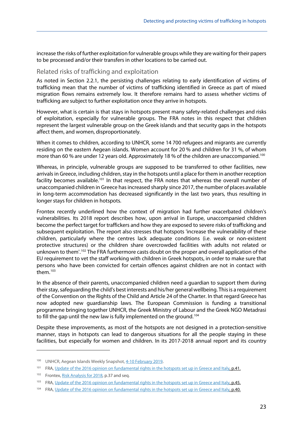increase the risks of further exploitation for vulnerable groups while they are waiting for their papers to be processed and/or their transfers in other locations to be carried out.

#### Related risks of trafficking and exploitation

As noted in Section 2.2.1, the persisting challenges relating to early identification of victims of trafficking mean that the number of victims of trafficking identified in Greece as part of mixed migration flows remains extremely low. It therefore remains hard to assess whether victims of trafficking are subject to further exploitation once they arrive in hotspots.

However, what is certain is that stays in hotspots present many safety-related challenges and risks of exploitation, especially for vulnerable groups. The FRA notes in this respect that children represent the largest vulnerable group on the Greek islands and that security gaps in the hotspots affect them, and women, disproportionately.

When it comes to children, according to UNHCR, some 14 700 refugees and migrants are currently residing on the eastern Aegean islands. Women account for 20 % and children for 31 %, of whom more than 60 % are under 12 years old. Approximately 18 % of the children are unaccompanied.<sup>[100](#page-34-0)</sup>

Whereas, in principle, vulnerable groups are supposed to be transferred to other facilities, new arrivals in Greece, including children, stay in the hotspots until a place for them in another reception facility becomes available.<sup>[101](#page-34-1)</sup> In that respect, the FRA notes that whereas the overall number of unaccompanied children in Greece has increased sharply since 2017, the number of places available in long-term accommodation has decreased significantly in the last two years, thus resulting in longer stays for children in hotspots.

Frontex recently underlined how the context of migration had further exacerbated children's vulnerabilities. Its 2018 report describes how, upon arrival in Europe, unaccompanied children become the perfect target for traffickers and how they are exposed to severe risks of trafficking and subsequent exploitation. The report also stresses that hotspots 'increase the vulnerability of these children, particularly where the centres lack adequate conditions (i.e. weak or non-existent protective structures) or the children share overcrowded facilities with adults not related or unknown to them'.<sup>[102](#page-34-2)</sup> The FRA furthermore casts doubt on the proper and overall application of the EU requirement to vet the staff working with children in Greek hotspots, in order to make sure that persons who have been convicted for certain offences against children are not in contact with them $103$ 

In the absence of their parents, unaccompanied children need a guardian to support them during their stay, safeguarding the child's best interests and his/her general wellbeing. This is a requirement of the Convention on the Rights of the Child and Article 24 of the Charter. In that regard Greece has now adopted new guardianship laws. The European Commission is funding a transitional programme bringing together UNHCR, the Greek Ministry of Labour and the Greek NGO Metadrasi to fill the gap until the new law is fully implemented on the ground.<sup>[104](#page-34-4)</sup>

Despite these improvements, as most of the hotspots are not designed in a protection-sensitive manner, stays in hotspots can lead to dangerous situations for all the people staying in these facilities, but especially for women and children. In its 2017-2018 annual report and its country

<span id="page-34-0"></span><sup>100</sup> UNHCR, Aegean Islands Weekly Snapshot[, 4-10 February 2019.](https://reliefweb.int/report/greece/greece-aegean-islands-weekly-snapshot-4-10-february-2019)

<span id="page-34-1"></span><sup>&</sup>lt;sup>101</sup> FRA[, Update of the 2016 opinion on fundamental rights in the hotspots set up in Greece and Italy,](https://fra.europa.eu/en/opinion/2019/migration-hotspots-update) p.41.

<span id="page-34-2"></span><sup>&</sup>lt;sup>102</sup> Frontex[, Risk Analysis for 2018,](https://frontex.europa.eu/assets/Publications/Risk_Analysis/Risk_Analysis/Risk_Analysis_for_2018.pdf) p.37 and seq.

<span id="page-34-3"></span><sup>&</sup>lt;sup>103</sup> FRA[, Update of the 2016 opinion on fundamental rights in the hotspots set up in Greece and Italy,](https://fra.europa.eu/en/opinion/2019/migration-hotspots-update) p.45.

<span id="page-34-4"></span><sup>&</sup>lt;sup>104</sup> FRA[, Update of the 2016 opinion on fundamental rights in the hotspots set up in Greece and Italy,](https://fra.europa.eu/en/opinion/2019/migration-hotspots-update) p.40.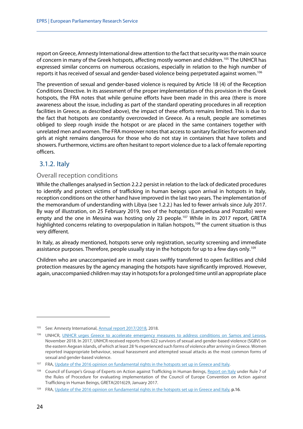report on Greece, Amnesty International drew attention to the fact that security was the main source of concern in many of the Greek hotspots, affecting mostly women and children.<sup>[105](#page-35-1)</sup> The UNHCR has expressed similar concerns on numerous occasions, especially in relation to the high number of reports it has received of sexual and gender-based violence being perpetrated against women.[106](#page-35-2)

The prevention of sexual and gender-based violence is required by Article 18 (4) of the Reception Conditions Directive. In its assessment of the proper implementation of this provision in the Greek hotspots, the FRA notes that while genuine efforts have been made in this area (there is more awareness about the issue, including as part of the standard operating procedures in all reception facilities in Greece, as described above), the impact of these efforts remains limited. This is due to the fact that hotspots are constantly overcrowded in Greece. As a result, people are sometimes obliged to sleep rough inside the hotspot or are placed in the same containers together with unrelated men and women. The FRA moreover notes that access to sanitary facilities for women and girls at night remains dangerous for those who do not stay in containers that have toilets and showers. Furthermore, victims are often hesitant to report violence due to a lack of female reporting officers.

### <span id="page-35-0"></span>3.1.2. Italy

#### Overall reception conditions

While the challenges analysed in Section 2.2.2 persist in relation to the lack of dedicated procedures to identify and protect victims of trafficking in human beings upon arrival in hotspots in Italy, reception conditions on the other hand have improved in the last two years. The implementation of the memorandum of understanding with Libya (see 1.2.2.) has led to fewer arrivals since July 2017. By way of illustration, on 25 February 2019, two of the hotspots (Lampedusa and Pozzallo) were empty and the one in Messina was hosting only 23 people.<sup>[107](#page-35-3)</sup> While in its 2017 report, GRETA highlighted concerns relating to overpopulation in Italian hotspots,<sup>[108](#page-35-4)</sup> the current situation is thus very different.

In Italy, as already mentioned, hotspots serve only registration, security screening and immediate assistance purposes. Therefore, people usually stay in the hotspots for up to a few days only.<sup>[109](#page-35-5)</sup>

Children who are unaccompanied are in most cases swiftly transferred to open facilities and child protection measures by the agency managing the hotspots have significantly improved. However, again, unaccompanied children may stay in hotspots for a prolonged time until an appropriate place

<span id="page-35-1"></span><sup>&</sup>lt;sup>105</sup> See: Amnesty International[, Annual report 2017/2018,](https://www.amnesty.org.uk/files/2018-02/annualreport2017.pdf) 2018.

<span id="page-35-2"></span><sup>106</sup> UNHCR, UNHCR urges Greece to accelerate emergency measures to address conditions on Samos and Lesvos, November 2018. In 2017, UNHCR received reports from 622 survivors of sexual and gender-based violence (SGBV) on the eastern Aegean islands, of which at least 28 % experienced such forms of violence after arriving in Greece. Women reported inappropriate behaviour, sexual harassment and attempted sexual attacks as the most common forms of sexual and gender-based violence.

<span id="page-35-3"></span><sup>&</sup>lt;sup>107</sup> FRA[, Update of the 2016 opinion on fundamental rights in the hotspots set up in Greece and Italy.](https://fra.europa.eu/en/opinion/2019/migration-hotspots-update)

<span id="page-35-4"></span><sup>108</sup> Council of Europe's Group of Experts on Action against Trafficking in Human Beings, [Report on Italy](https://rm.coe.int/CoERMPublicCommonSearchServices/DisplayDCTMContent?documentId=09000016806edf35) under Rule 7 of the Rules of Procedure for evaluating implementation of the Council of Europe Convention on Action against Trafficking in Human Beings, GRETA(2016)29, January 2017.

<span id="page-35-5"></span><sup>109</sup> FRA[, Update of the 2016 opinion on fundamental rights in the hotspots set up in Greece and Italy,](https://fra.europa.eu/en/opinion/2019/migration-hotspots-update) p.16.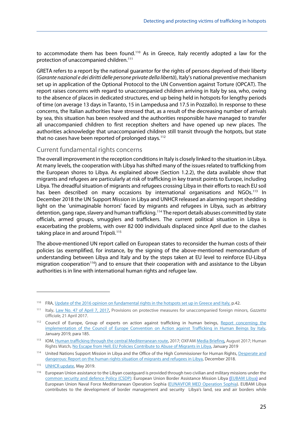to accommodate them has been found.<sup>[110](#page-36-0)</sup> As in Greece, Italy recently adopted a law for the protection of unaccompanied children[.111](#page-36-1)

GRETA refers to a report by the national guarantor for the rights of persons deprived of their liberty (*Garante nazional e dei diritti delle persone private della libertà*), Italy's national preventive mechanism set up in application of the Optional Protocol to the UN Convention against Torture (OPCAT). The report raises concerns with regard to unaccompanied children arriving in Italy by sea, who, owing to the absence of places in dedicated structures, end up being held in hotspots for lengthy periods of time (on average 13 days in Taranto, 15 in Lampedusa and 17.5 in Pozzallo). In response to these concerns, the Italian authorities have stressed that, as a result of the decreasing number of arrivals by sea, this situation has been resolved and the authorities responsible have managed to transfer all unaccompanied children to first reception shelters and have opened up new places. The authorities acknowledge that unaccompanied children still transit through the hotpots, but state that no cases have been reported of prolonged stays.<sup>[112](#page-36-2)</sup>

#### Current fundamental rights concerns

The overall improvement in the reception conditions in Italy is closely linked to the situation in Libya. At many levels, the cooperation with Libya has shifted many of the issues related to trafficking from the European shores to Libya. As explained above (Section 1.2.2), the data available show that migrants and refugees are particularly at risk of trafficking in key transit points to Europe, including Libya. The dreadful situation of migrants and refugees crossing Libya in their efforts to reach EU soil has been described on many occasions by international organisations and NGOs.<sup>[113](#page-36-3)</sup> In December 2018 the UN Support Mission in Libya and UNHCR released an alarming report shedding light on the 'unimaginable horrors' faced by migrants and refugees in Libya, such as arbitrary detention, gang rape, slavery and human trafficking.[114](#page-36-4) The report details abuses committed by state officials, armed groups, smugglers and traffickers. The current political situation in Libya is exacerbating the problems, with over 82 000 individuals displaced since April due to the clashes taking place in and around Tripoli.<sup>[115](#page-36-5)</sup>

The above-mentioned UN report called on European states to reconsider the human costs of their policies (as exemplified, for instance, by the signing of the above-mentioned memorandum of understanding between Libya and Italy and by the steps taken at EU level to reinforce EU-Libya migration cooperation<sup>116</sup>) and to ensure that their cooperation with and assistance to the Libyan authorities is in line with international human rights and refugee law.

-

<span id="page-36-0"></span><sup>110</sup> FRA[, Update of the 2016 opinion on fundamental rights in the hotspots set up in Greece and Italy,](https://fra.europa.eu/en/opinion/2019/migration-hotspots-update) p.42.

<span id="page-36-1"></span><sup>111</sup> Italy, [Law No. 47 of April 7, 2017,](https://www.normattiva.it/uri-res/N2Ls?urn:nir:stato:legge:2017-04-7;47) Provisions on protective measures for unaccompanied foreign minors, *Gazzetta Ufficiale,* 21 April 2017.

<span id="page-36-2"></span><sup>112</sup> Council of Europe, Group of experts on action against trafficking in human beings, Report concerning the [implementation of the Council of Europe Convention on Action against Trafficking in](https://rm.coe.int/greta-2018-28-fgr-ita/168091f627) Human Beings by Italy, January 2019, para 185.

<span id="page-36-3"></span><sup>113</sup> IOM[, Human trafficking through the central Mediterranean route,](https://italy.iom.int/sites/default/files/news-documents/IOMReport_Trafficking.pdf) 2017; OXFA[M Media Briefing,](https://reliefweb.int/sites/reliefweb.int/files/resources/LibyaItalybrief.pdf) August 2017; Human Rights Watch[, No Escape from Hell. EU Policies Contribute to Abuse of Migrants in Libya,](https://www.hrw.org/report/2019/01/21/no-escape-hell/eu-policies-contribute-abuse-migrants-libya) January 2019

<span id="page-36-4"></span><sup>114</sup> United Nations Support Mission in Libya and the Office of the High Commissioner for Human Rights[, Desperate and](https://www.ohchr.org/Documents/Countries/LY/LibyaMigrationReport.pdf)  [dangerous: Report on the human rights situation of migrants and refugees in Libya,](https://www.ohchr.org/Documents/Countries/LY/LibyaMigrationReport.pdf) December 2018.

<span id="page-36-5"></span><sup>115</sup> **UNHCR update**, May 2019.

<span id="page-36-6"></span><sup>&</sup>lt;sup>116</sup> European Union assistance to the Libyan coastguard is provided through two civilian and military missions under the [common security and defence Policy \(CSDP\):](https://eeas.europa.eu/topics/common-security-and-defence-policy-csdp_en) European Union Border Assistance Mission Libya [\(EUBAM Libya\)](https://eeas.europa.eu/csdp-missions-operations/eubam-libya_en) and European Union Naval Force Mediterranean Operation Sophia [\(EUNAVFOR MED Operation Sophia\)](https://www.operationsophia.eu/). EUBAM Libya contributes to the development of border management and security Libya's land, sea and air borders while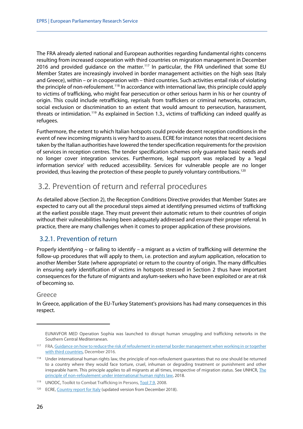The FRA already alerted national and European authorities regarding fundamental rights concerns resulting from increased cooperation with third countries on migration management in December 2016 and provided guidance on the matter.<sup>[117](#page-37-2)</sup> In particular, the FRA underlined that some EU Member States are increasingly involved in border management activities on the high seas (Italy and Greece), within – or in cooperation with – third countries. Such activities entail risks of violating the principle of non-refoulement.<sup>[118](#page-37-3)</sup> In accordance with international law, this principle could apply to victims of trafficking, who might fear persecution or other serious harm in his or her country of origin. This could include retrafficking, reprisals from traffickers or criminal networks, ostracism, social exclusion or discrimination to an extent that would amount to persecution, harassment, threats or intimidation.[119](#page-37-4) As explained in Section 1.3., victims of trafficking can indeed qualify as refugees.

Furthermore, the extent to which Italian hotspots could provide decent reception conditions in the event of new incoming migrants is very hard to assess. ECRE for instance notes that recent decisions taken by the Italian authorities have lowered the tender specification requirements for the provision of services in reception centres. The tender specification schemes only guarantee basic needs and no longer cover integration services. Furthermore, legal support was replaced by a 'legal information service' with reduced accessibility. Services for vulnerable people are no longer provided, thus leaving the protection of these people to purely voluntary contributions.<sup>[120](#page-37-5)</sup>

## <span id="page-37-0"></span>3.2. Prevention of return and referral procedures

As detailed above (Section 2), the Reception Conditions Directive provides that Member States are expected to carry out all the procedural steps aimed at identifying presumed victims of trafficking at the earliest possible stage. They must prevent their automatic return to their countries of origin without their vulnerabilities having been adequately addressed and ensure their proper referral. In practice, there are many challenges when it comes to proper application of these provisions.

### <span id="page-37-1"></span>3.2.1. Prevention of return

Properly identifying – or failing to identify – a migrant as a victim of trafficking will determine the follow-up procedures that will apply to them, i.e. protection and asylum application, relocation to another Member State (where appropriate) or return to the country of origin. The many difficulties in ensuring early identification of victims in hotspots stressed in Section 2 thus have important consequences for the future of migrants and asylum-seekers who have been exploited or are at risk of becoming so.

#### Greece

**.** 

In Greece, application of the EU-Turkey Statement's provisions has had many consequences in this respect.

EUNAVFOR MED Operation Sophia was launched to disrupt human smuggling and trafficking networks in the Southern Central Mediterranean.

<span id="page-37-2"></span><sup>&</sup>lt;sup>117</sup> FRA, Guidance on how to reduce the risk of refoulement in external border management when working in or together [with third countries,](https://fra.europa.eu/en/publication/2016/guidance-how-reduce-risk-refoulement-external-border-management-when-working-or) December 2016.

<span id="page-37-3"></span><sup>&</sup>lt;sup>118</sup> Under international human rights law, the principle of non-refoulement quarantees that no one should be returned to a country where they would face torture, cruel, inhuman or degrading treatment or punishment and other irreparable harm. This principle applies to all migrants at all times, irrespective of migration status. See UNHCR, The [principle of non-refoulement under international human rights law,](https://www.ohchr.org/Documents/Issues/Migration/GlobalCompactMigration/ThePrincipleNon-RefoulementUnderInternationalHumanRightsLaw.pdf) 2018.

<span id="page-37-4"></span><sup>119</sup> UNODC, Toolkit to Combat Trafficking in Persons[, Tool 7.9,](https://www.unodc.org/documents/human-trafficking/Toolkit-files/08-58296_tool_7-9.pdf) 2008.

<span id="page-37-5"></span><sup>&</sup>lt;sup>120</sup> ECRE[, Country report for Italy](http://www.asylumineurope.org/sites/default/files/report-download/aida_it_2018update.pdf) (updated version from December 2018).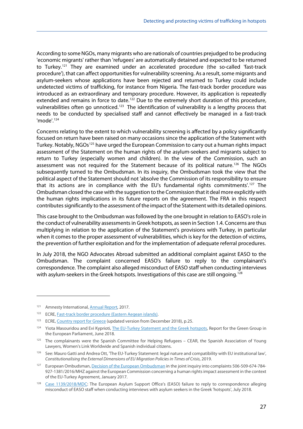According to some NGOs, many migrants who are nationals of countries prejudged to be producing 'economic migrants' rather than 'refugees' are automatically detained and expected to be returned to Turkey.<sup>[121](#page-38-0)</sup> They are examined under an accelerated procedure (the so-called 'fast-track procedure'), that can affect opportunities for vulnerability screening. As a result, some migrants and asylum-seekers whose applications have been rejected and returned to Turkey could include undetected victims of trafficking, for instance from Nigeria. The fast-track border procedure was introduced as an extraordinary and temporary procedure. However, its application is repeatedly extended and remains in force to date.<sup>[122](#page-38-1)</sup> Due to the extremely short duration of this procedure, vulnerabilities often go unnoticed.<sup>123</sup> The identification of vulnerability is a lengthy process that needs to be conducted by specialised staff and cannot effectively be managed in a fast-track 'mode'. [124](#page-38-3)

Concerns relating to the extent to which vulnerability screening is affected by a policy significantly focused on return have been raised on many occasions since the application of the Statement with Turkey. Notably, NGOs<sup>[125](#page-38-4)</sup> have urged the European Commission to carry out a human rights impact assessment of the Statement on the human rights of the asylum-seekers and migrants subject to return to Turkey (especially women and children). In the view of the Commission, such an assessment was not required for the Statement because of its political nature.<sup>[126](#page-38-5)</sup> The NGOs subsequently turned to the Ombudsman. In its inquiry, the Ombudsman took the view that the political aspect of the Statement should not 'absolve the Commission of its responsibility to ensure that its actions are in compliance with the EU's fundamental rights commitments'.<sup>[127](#page-38-6)</sup> The Ombudsman closed the case with the suggestion to the Commission that it deal more explicitly with the human rights implications in its future reports on the agreement. The FRA in this respect contributes significantly to the assessment of the impact of the Statement with its detailed opinions.

This case brought to the Ombudsman was followed by the one brought in relation to EASO's role in the conduct of vulnerability assessments in Greek hotspots, as seen in Section 1.4. Concerns are thus multiplying in relation to the application of the Statement's provisions with Turkey, in particular when it comes to the proper assessment of vulnerabilities, which is key for the detection of victims, the prevention of further exploitation and for the implementation of adequate referral procedures.

In July 2018, the NGO Advocates Abroad submitted an additional complaint against EASO to the Ombudsman. The complaint concerned EASO's failure to reply to the complainant's correspondence. The complaint also alleged misconduct of EASO staff when conducting interviews with asylum-seekers in the Greek hotspots. Investigations of this case are still ongoing.<sup>128</sup>

<span id="page-38-0"></span><sup>121</sup> Amnesty International[, Annual Report,](https://www.amnesty.org.uk/files/2018-02/annualreport2017.pdf) 2017.

<span id="page-38-1"></span><sup>122</sup> ECRE[, Fast-track border procedure \(Eastern Aegean islands\).](https://www.asylumineurope.org/reports/country/greece/asylum-procedure/procedures/fast-track-border-procedure-eastern-aegean)

<span id="page-38-2"></span><sup>&</sup>lt;sup>123</sup> ECRE[, Country report for Greece](http://www.asylumineurope.org/reports/country/greece) (updated version from December 2018), p.25.

<span id="page-38-3"></span><sup>&</sup>lt;sup>124</sup> Yiota Masouridou and Evi Kyprioti[, The EU-Turkey Statement and the Greek hotspots,](http://extranet.greens-efa-service.eu/public/media/file/1/5625) Report for the Green Group in the European Parliament, June 2018.

<span id="page-38-4"></span><sup>125</sup> The complainants were the Spanish Committee for Helping Refugees - CEAR, the Spanish Association of Young Lawyers, Women's Link Worldwide and Spanish individual citizens.

<span id="page-38-5"></span><sup>126</sup> See: Mauro Gatti and Andrea Ott, 'The EU-Turkey Statement: legal nature and compatibility with EU institutional law', *Constitutionalising the External Dimensions of EU Migration Policies in Times of Crisis*, 2019.

<span id="page-38-6"></span><sup>&</sup>lt;sup>127</sup> European Ombudsman[, Decision of the European Ombudsman](https://www.ombudsman.europa.eu/en/decision/en/75160) in the joint inquiry into complaints 506-509-674-784-927-1381/2016/MHZ against the European Commission concerning a human rights impact assessment in the context of the EU-Turkey Agreement, January 2017.

<span id="page-38-7"></span><sup>128</sup> [Case 1139/2018/MDC:](https://www.ombudsman.europa.eu/en/case/en/52754) The European Asylum Support Office's (EASO) failure to reply to correspondence alleging misconduct of EASO staff when conducting interviews with asylum seekers in the Greek 'hotspots', July 2018.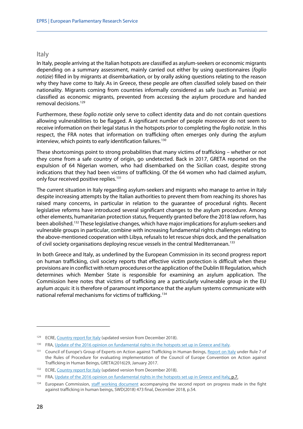#### Italy

In Italy, people arriving at the Italian hotspots are classified as asylum-seekers or economic migrants depending on a summary assessment, mainly carried out either by using questionnaires (*foglio notizie*) filled in by migrants at disembarkation, or by orally asking questions relating to the reason why they have come to Italy. As in Greece, these people are often classified solely based on their nationality. Migrants coming from countries informally considered as safe (such as Tunisia) are classified as economic migrants, prevented from accessing the asylum procedure and handed removal decisions.[129](#page-39-0)

Furthermore, these *foglio notizie* only serve to collect identity data and do not contain questions allowing vulnerabilities to be flagged. A significant number of people moreover do not seem to receive information on their legal status in the hotspots prior to completing the *foglio notizie*. In this respect, the FRA notes that information on trafficking often emerges only during the asylum interview, which points to early identification failures.<sup>[130](#page-39-1)</sup>

These shortcomings point to strong probabilities that many victims of trafficking – whether or not they come from a safe country of origin, go undetected. Back in 2017, GRETA reported on the expulsion of 64 Nigerian women, who had disembarked on the Sicilian coast, despite strong indications that they had been victims of trafficking. Of the 64 women who had claimed asylum, only four received positive replies.<sup>[131](#page-39-2)</sup>

The current situation in Italy regarding asylum-seekers and migrants who manage to arrive in Italy despite increasing attempts by the Italian authorities to prevent them from reaching its shores has raised many concerns, in particular in relation to the guarantee of procedural rights. Recent legislative reforms have introduced several significant changes to the asylum procedure. Among other elements, humanitarian protection status, frequently granted before the 2018 law reform, has been abolished.[132](#page-39-3) These legislative changes, which have major implications for asylum-seekers and vulnerable groups in particular, combine with increasing fundamental rights challenges relating to the above-mentioned cooperation with Libya, refusals to let rescue ships dock, and the penalisation of civil society organisations deploying rescue vessels in the central Mediterranean.<sup>133</sup>

In both Greece and Italy, as underlined by the European Commission in its second progress report on human trafficking, civil society reports that effective victim protection is difficult when these provisions are in conflict with return procedures or the application of the Dublin III Regulation, which determines which Member State is responsible for examining an asylum application. The Commission here notes that victims of trafficking are a particularly vulnerable group in the EU asylum *acquis*: it is therefore of paramount importance that the asylum systems communicate with national referral mechanisms for victims of trafficking.[134](#page-39-5)

<span id="page-39-0"></span><sup>&</sup>lt;sup>129</sup> ECRE[, Country report for Italy](http://www.asylumineurope.org/sites/default/files/report-download/aida_it_2018update.pdf) (updated version from December 2018).

<span id="page-39-1"></span><sup>&</sup>lt;sup>130</sup> FRA[, Update of the 2016 opinion on fundamental rights in the hotspots set up in Greece and Italy.](https://fra.europa.eu/en/opinion/2019/migration-hotspots-update)

<span id="page-39-2"></span><sup>&</sup>lt;sup>131</sup> Council of Europe's Group of Experts on Action against Trafficking in Human Beings, [Report on Italy](https://rm.coe.int/CoERMPublicCommonSearchServices/DisplayDCTMContent?documentId=09000016806edf35) under Rule 7 of the Rules of Procedure for evaluating implementation of the Council of Europe Convention on Action against Trafficking in Human Beings, GRETA(2016)29, January 2017.

<span id="page-39-3"></span><sup>&</sup>lt;sup>132</sup> ECRE[, Country report for Italy](http://www.asylumineurope.org/sites/default/files/report-download/aida_it_2018update.pdf) (updated version from December 2018).

<span id="page-39-4"></span><sup>&</sup>lt;sup>133</sup> FRA[, Update of the 2016 opinion on fundamental rights in the hotspots set up in Greece and Italy,](https://fra.europa.eu/en/opinion/2019/migration-hotspots-update) p.7.

<span id="page-39-5"></span><sup>&</sup>lt;sup>134</sup> European Commission, staff [working document](https://ec.europa.eu/home-affairs/sites/homeaffairs/files/what-we-do/policies/european-agenda-security/20181204_swd-2018-473-commission-staff-working-document_en.pdf) accompanying the second report on progress made in the fight against trafficking in human beings, SWD(2018) 473 final, December 2018, p.54.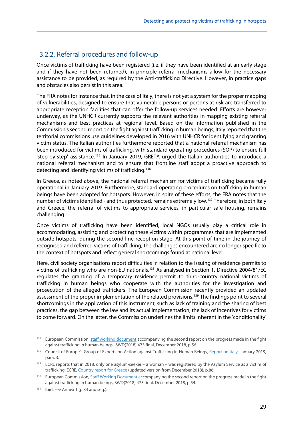### <span id="page-40-0"></span>3.2.2. Referral procedures and follow-up

Once victims of trafficking have been registered (i.e. if they have been identified at an early stage and if they have not been returned), in principle referral mechanisms allow for the necessary assistance to be provided, as required by the Anti-trafficking Directive. However, in practice gaps and obstacles also persist in this area.

The FRA notes for instance that, in the case of Italy, there is not yet a system for the proper mapping of vulnerabilities, designed to ensure that vulnerable persons or persons at risk are transferred to appropriate reception facilities that can offer the follow-up services needed. Efforts are however underway, as the UNHCR currently supports the relevant authorities in mapping existing referral mechanisms and best practices at regional level. Based on the information published in the Commission's second report on the fight against trafficking in human beings, Italy reported that the territorial commissions use guidelines developed in 2016 with UNHCR for identifying and granting victim status. The Italian authorities furthermore reported that a national referral mechanism has been introduced for victims of trafficking, with standard operating procedures (SOP) to ensure full 'step-by-step' assistance.<sup>[135](#page-40-1)</sup> In January 2019, GRETA urged the Italian authorities to introduce a national referral mechanism and to ensure that frontline staff adopt a proactive approach to detecting and identifying victims of trafficking.<sup>[136](#page-40-2)</sup>

In Greece, as noted above, the national referral mechanism for victims of trafficking became fully operational in January 2019. Furthermore, standard operating procedures on trafficking in human beings have been adopted for hotspots. However, in spite of these efforts, the FRA notes that the number of victims identified - and thus protected, remains extremely low.[137](#page-40-3) Therefore, in both Italy and Greece, the referral of victims to appropriate services, in particular safe housing, remains challenging.

Once victims of trafficking have been identified, local NGOs usually play a critical role in accommodating, assisting and protecting these victims within programmes that are implemented outside hotspots, during the second-line reception stage. At this point of time in the journey of recognised and referred victims of trafficking, the challenges encountered are no longer specific to the context of hotspots and reflect general shortcomings found at national level.

Here, civil society organisations report difficulties in relation to the issuing of residence permits to victims of trafficking who are non-EU nationals.<sup>[138](#page-40-4)</sup> As analysed in Section 1, Directive 2004/81/EC regulates the granting of a temporary residence permit to third-country national victims of trafficking in human beings who cooperate with the authorities for the investigation and prosecution of the alleged traffickers. The European Commission recently provided an updated assessment of the proper implementation of the related provisions.<sup>[139](#page-40-5)</sup> The findings point to several shortcomings in the application of this instrument, such as lack of training and the sharing of best practices, the gap between the law and its actual implementation, the lack of incentives for victims to come forward. On the latter, the Commission underlines the limits inherent in the 'conditionality'

<span id="page-40-1"></span><sup>&</sup>lt;sup>135</sup> European Commission[, staff working document](https://ec.europa.eu/home-affairs/sites/homeaffairs/files/what-we-do/policies/european-agenda-security/20181204_swd-2018-473-commission-staff-working-document_en.pdf) accompanying the second report on the progress made in the fight against trafficking in human beings, SWD(2018) 473 final, December 2018, p.56

<span id="page-40-2"></span><sup>&</sup>lt;sup>136</sup> Council of Europe's Group of Experts on Action against Trafficking in Human Beings, [Report on Italy,](https://rm.coe.int/greta-2018-28-fgr-ita/168091f627) January 2019, para. 3.

<span id="page-40-3"></span><sup>137</sup> ECRE reports that in 2018, only one asylum-seeker – a woman – was registered by the Asylum Service as a victim of trafficking: ECRE[, Country report for Greece](http://www.asylumineurope.org/reports/country/greece) (updated version from December 2018), p.86.

<span id="page-40-4"></span><sup>&</sup>lt;sup>138</sup> European Commission[, Staff Working Document](https://ec.europa.eu/home-affairs/sites/homeaffairs/files/what-we-do/policies/european-agenda-security/20181204_swd-2018-473-commission-staff-working-document_en.pdf) accompanying the second report on the progress made in the fight against trafficking in human beings, SWD(2018) 473 final, December 2018, p.54.

<span id="page-40-5"></span><sup>&</sup>lt;sup>139</sup> Ibid, see Annex 1 (p.84 and seq.).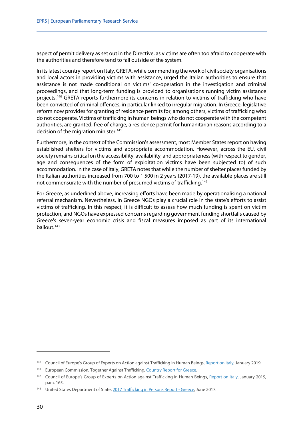aspect of permit delivery as set out in the Directive, as victims are often too afraid to cooperate with the authorities and therefore tend to fall outside of the system.

In its latest country report on Italy, GRETA, while commending the work of civil society organisations and local actors in providing victims with assistance, urged the Italian authorities to ensure that assistance is not made conditional on victims' co-operation in the investigation and criminal proceedings, and that long-term funding is provided to organisations running victim assistance projects.<sup>[140](#page-41-0)</sup> GRETA reports furthermore its concerns in relation to victims of trafficking who have been convicted of criminal offences, in particular linked to irregular migration. In Greece, legislative reform now provides for granting of residence permits for, among others, victims of trafficking who do not cooperate. Victims of trafficking in human beings who do not cooperate with the competent authorities, are granted, free of charge, a residence permit for humanitarian reasons according to a decision of the migration minister. [141](#page-41-1)

Furthermore, in the context of the Commission's assessment, most Member States report on having established shelters for victims and appropriate accommodation. However, across the EU, civil society remains critical on the accessibility, availability, and appropriateness (with respect to gender, age and consequences of the form of exploitation victims have been subjected to) of such accommodation. In the case of Italy, GRETA notes that while the number of shelter places funded by the Italian authorities increased from 700 to 1 500 in 2 years (2017-19), the available places are still not commensurate with the number of presumed victims of trafficking.<sup>[142](#page-41-2)</sup>

For Greece, as underlined above, increasing efforts have been made by operationalising a national referral mechanism. Nevertheless, in Greece NGOs play a crucial role in the state's efforts to assist victims of trafficking. In this respect, it is difficult to assess how much funding is spent on victim protection, and NGOs have expressed concerns regarding government funding shortfalls caused by Greece's seven-year economic crisis and fiscal measures imposed as part of its international bailout.[143](#page-41-3)

<span id="page-41-0"></span><sup>&</sup>lt;sup>140</sup> Council of Europe's Group of Experts on Action against Trafficking in Human Beings[, Report on](https://rm.coe.int/greta-2018-28-fgr-ita/168091f627) Italy, January 2019.

<span id="page-41-1"></span><sup>&</sup>lt;sup>141</sup> European Commission, Together Against Trafficking[, Country Report for Greece.](https://ec.europa.eu/anti-trafficking/member-states/Greece)

<span id="page-41-2"></span><sup>&</sup>lt;sup>142</sup> Council of Europe's Group of Experts on Action against Trafficking in Human Beings, [Report on Italy,](https://rm.coe.int/greta-2018-28-fgr-ita/168091f627) January 2019, para. 165.

<span id="page-41-3"></span><sup>143</sup> United States Department of State[, 2017 Trafficking in Persons Report -](https://www.refworld.org/docid/5959ecc73.html) Greece, June 2017.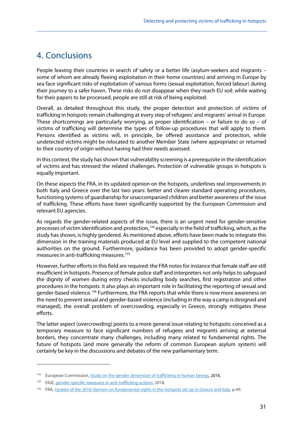# <span id="page-42-0"></span>4. Conclusions

People leaving their countries in search of safety or a better life (asylum-seekers and migrants – some of whom are already fleeing exploitation in their home countries) and arriving in Europe by sea face significant risks of exploitation of various forms (sexual exploitation, forced labour) during their journey to a safer haven. These risks do not disappear when they reach EU soil: while waiting for their papers to be processed, people are still at risk of being exploited.

Overall, as detailed throughout this study, the proper detection and protection of victims of trafficking in hotspots remain challenging at every step of refugees' and migrants' arrival in Europe. These shortcomings are particularly worrying, as proper identification – or failure to do so – of victims of trafficking will determine the types of follow-up procedures that will apply to them. Persons identified as victims will, in principle, be offered assistance and protection, while undetected victims might be relocated to another Member State (where appropriate) or returned to their country of origin without having had their needs assessed.

In this context, the study has shown that vulnerability screening is a prerequisite in the identification of victims and has stressed the related challenges. Protection of vulnerable groups in hotspots is equally important.

On these aspects the FRA, in its updated opinion on the hotspots, underlines real improvements in both Italy and Greece over the last two years: better and clearer standard operating procedures, functioning systems of guardianship for unaccompanied children and better awareness of the issue of trafficking. These efforts have been significantly supported by the European Commission and relevant EU agencies.

As regards the gender-related aspects of the issue, there is an urgent need for gender-sensitive processes of victim identification and protection,<sup>[144](#page-42-1)</sup> especially in the field of trafficking, which, as the study has shown, is highly gendered. As mentioned above, efforts have been made to integrate this dimension in the training materials produced at EU level and supplied to the competent national authorities on the ground. Furthermore, guidance has been provided to adopt gender-specific measures in anti-trafficking measures. [145](#page-42-2)

However, further efforts in this field are required: the FRA notes for instance that female staff are still insufficient in hotspots. Presence of female police staff and interpreters not only helps to safeguard the dignity of women during entry checks including body searches, first registration and other procedures in the hotspots: it also plays an important role in facilitating the reporting of sexual and gender-based violence.[146](#page-42-3) Furthermore, the FRA reports that while there is now more awareness on the need to prevent sexual and gender-based violence (including in the way a camp is designed and managed), the overall problem of overcrowding, especially in Greece, strongly mitigates these efforts.

The latter aspect (overcrowding) points to a more general issue relating to hotspots: conceived as a temporary measure to face significant numbers of refugees and migrants arriving at external borders, they concentrate many challenges, including many related to fundamental rights. The future of hotspots (and more generally the reform of common European asylum system) will certainly be key in the discussions and debates of the new parliamentary term.

<span id="page-42-1"></span><sup>&</sup>lt;sup>144</sup> European Commission[, Study on the gender dimension of trafficking in human beings,](https://ec.europa.eu/anti-trafficking/sites/antitrafficking/files/study_on_the_gender_dimension_of_trafficking_in_human_beings._final_report.pdf) 2016.

<span id="page-42-2"></span><sup>&</sup>lt;sup>145</sup> EIGE[, gender-specific measures in anti-trafficking actions,](https://ec.europa.eu/anti-trafficking/sites/antitrafficking/files/read_the_report_gender-specific_measures_in_anti-trafficking_actions.pdf) 2018.

<span id="page-42-3"></span><sup>146</sup> FRA[, Update of the 2016 Opinion on fundamental rights in the hotspots set up in Greece and Italy,](https://fra.europa.eu/en/opinion/2019/migration-hotspots-update) p.49.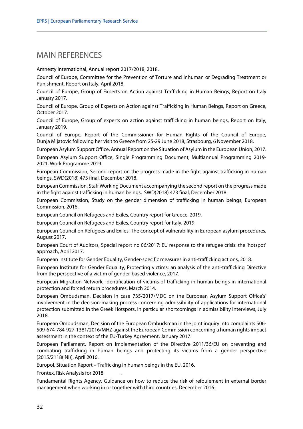### MAIN REFERENCES

Amnesty International, Annual report 2017/2018, 2018.

Council of Europe, Committee for the Prevention of Torture and Inhuman or Degrading Treatment or Punishment, Report on Italy, April 2018.

Council of Europe, Group of Experts on Action against Trafficking in Human Beings, Report on Italy January 2017.

Council of Europe, Group of Experts on Action against Trafficking in Human Beings, Report on Greece, October 2017.

Council of Europe, Group of experts on action against trafficking in human beings, Report on Italy, January 2019.

Council of Europe, Report of the Commissioner for Human Rights of the Council of Europe, Dunja Mijatovic following her visit to Greece from 25-29 June 2018, Strasbourg, 6 November 2018.

European Asylum Support Office, Annual Report on the Situation of Asylum in the European Union, 2017.

European Asylum Support Office, Single Programming Document, Multiannual Programming 2019- 2021, Work Programme 2019.

European Commission, Second report on the progress made in the fight against trafficking in human beings, SWD(2018) 473 final, December 2018.

European Commission, Staff Working Document accompanying the second report on the progress made in the fight against trafficking in human beings, SWD(2018) 473 final, December 2018.

European Commission, Study on the gender dimension of trafficking in human beings, European Commission, 2016.

European Council on Refugees and Exiles, Country report for Greece, 2019.

European Council on Refugees and Exiles, Country report for Italy, 2019.

European Council on Refugees and Exiles, The concept of vulnerability in European asylum procedures, August 2017.

European Court of Auditors, Special report no 06/2017: EU response to the refugee crisis: the 'hotspot' approach, April 2017.

European Institute for Gender Equality, Gender-specific measures in anti-trafficking actions, 2018.

European Institute for Gender Equality, Protecting victims: an analysis of the anti-trafficking Directive from the perspective of a victim of gender-based violence, 2017.

European Migration Network, Identification of victims of trafficking in human beings in international protection and forced return procedures, March 2014.

European Ombudsman, Decision in case 735/2017/MDC on the European Asylum Support Office's' involvement in the decision-making process concerning admissibility of applications for international protection submitted in the Greek Hotspots, in particular shortcomings in admissibility interviews, July 2018.

European Ombudsman, Decision of the European Ombudsman in the joint inquiry into complaints 506- 509-674-784-927-1381/2016/MHZ against the European Commission concerning a human rights impact assessment in the context of the EU-Turkey Agreement, January 2017.

European Parliament, Report on implementation of the Directive 2011/36/EU on preventing and combating trafficking in human beings and protecting its victims from a gender perspective (2015/2118(INI)), April 2016.

Europol, Situation Report – Trafficking in human beings in the EU, 2016.

Frontex, Risk Analysis for 2018 .

Fundamental Rights Agency, Guidance on how to reduce the risk of refoulement in external border management when working in or together with third countries, December 2016.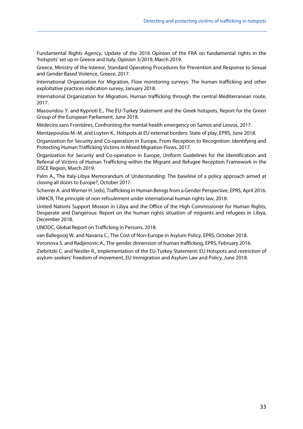Fundamental Rights Agency, Update of the 2016 Opinion of the FRA on fundamental rights in the 'hotspots' set up in Greece and Italy, Opinion 3/2019, March 2019.

Greece, Ministry of the Interior, Standard Operating Procedures for Prevention and Response to Sexual and Gender Based Violence, Greece, 2017.

International Organization for Migration, Flow monitoring surveys: The human trafficking and other exploitative practices indication survey, January 2018.

International Organization for Migration, Human trafficking through the central Mediterranean route, 2017.

Masouridou Y. and Kyprioti E., The EU-Turkey Statement and the Greek hotspots, Report for the Green Group of the European Parliament, June 2018.

Médecins sans Frontières, Confronting the mental health emergency on Samos and Lesvos, 2017.

Mentzepoulou M.-M. and Luyten K., Hotspots at EU external borders: State of play, EPRS, June 2018.

Organization for Security and Co-operation in Europe, From Reception to Recognition: Identifying and Protecting Human Trafficking Victims in Mixed Migration Flows, 2017.

Organization for Security and Co-operation in Europe, Uniform Guidelines for the Identification and Referral of Victims of Human Trafficking within the Migrant and Refugee Reception Framework in the OSCE Region, March 2019.

Palm A., The Italy-Libya Memorandum of Understanding: The baseline of a policy approach aimed at closing all doors to Europe?, October 2017.

Scherrer A. and Werner H. (eds), Trafficking in Human Beings from a Gender Perspective, EPRS, April 2016. UNHCR, The principle of non-refoulement under international human rights law, 2018.

United Nations Support Mission in Libya and the Office of the High Commissioner for Human Rights, Desperate and Dangerous: Report on the human rights situation of migrants and refugees in Libya, December 2018.

UNODC, Global Report on Trafficking in Persons, 2018.

van Ballegooij W. and Navarra C., The Cost of Non-Europe in Asylum Policy, EPRS, October 2018.

Voronova S. and Radjenovic A., The gender dimension of human trafficking, EPRS, February 2016.

Ziebritzki C. and Nestler R., Implementation of the EU-Turkey Statement: EU Hotspots and restriction of asylum-seekers' freedom of movement, EU Immigration and Asylum Law and Policy, June 2018.